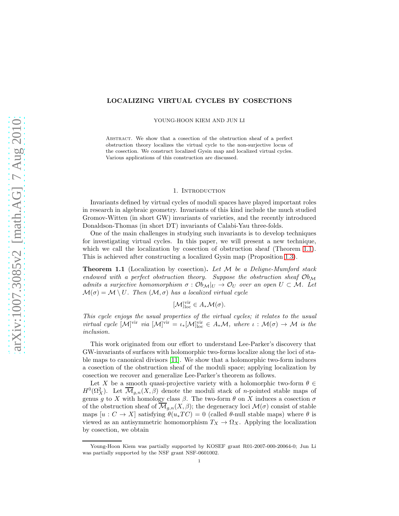# LOCALIZING VIRTUAL CYCLES BY COSECTIONS

YOUNG-HOON KIEM AND JUN LI

Abstract. We show that a cosection of the obstruction sheaf of a perfect obstruction theory localizes the virtual cycle to the non-surjective locus of the cosection. We construct localized Gysin map and localized virtual cycles. Various applications of this construction are discussed.

#### 1. INTRODUCTION

Invariants defined by virtual cycles of moduli spaces have played important roles in research in algebraic geometry. Invariants of this kind include the much studied Gromov-Witten (in short GW) invariants of varieties, and the recently introduced Donaldson-Thomas (in short DT) invariants of Calabi-Yau three-folds.

One of the main challenges in studying such invariants is to develop techniques for investigating virtual cycles. In this paper, we will present a new technique, which we call the localization by cosection of obstruction sheaf (Theorem [1.1\)](#page-0-0). This is achieved after constructing a localized Gysin map (Proposition [1.3\)](#page-1-0).

<span id="page-0-0"></span>Theorem 1.1 (Localization by cosection). *Let* M *be a Deligne-Mumford stack endowed with a perfect obstruction theory. Suppose the obstruction sheaf* Ob<sup>M</sup> *admits a surjective homomorphism*  $\sigma : \mathcal{O}b_{\mathcal{M}}|_U \to \mathcal{O}_U$  *over an open*  $U \subset \mathcal{M}$ . Let  $\mathcal{M}(\sigma) = \mathcal{M} \setminus U$ . Then  $(\mathcal{M}, \sigma)$  has a localized virtual cycle

$$
[\mathcal{M}]_{\text{loc}}^{\text{vir}} \in A_* \mathcal{M}(\sigma).
$$

*This cycle enjoys the usual properties of the virtual cycles; it relates to the usual virtual cycle*  $[M]^{vir}$  *via*  $[M]^{vir} = \iota_*[M]^{vir}_{loc} \in A_*\mathcal{M}$ *, where*  $\iota : \mathcal{M}(\sigma) \to \mathcal{M}$  *is the inclusion.*

This work originated from our effort to understand Lee-Parker's discovery that GW-invariants of surfaces with holomorphic two-forms localize along the loci of stable maps to canonical divisors [\[11\]](#page-24-0). We show that a holomorphic two-form induces a cosection of the obstruction sheaf of the moduli space; applying localization by cosection we recover and generalize Lee-Parker's theorem as follows.

Let X be a smooth quasi-projective variety with a holomorphic two-form  $\theta \in$  $H^0(\Omega_X^2)$ . Let  $\overline{\mathcal{M}}_{g,n}(X,\beta)$  denote the moduli stack of *n*-pointed stable maps of genus g to X with homology class  $\beta$ . The two-form  $\theta$  on X induces a cosection  $\sigma$ of the obstruction sheaf of  $\overline{\mathcal{M}}_{g,n}(X,\beta)$ ; the degeneracy loci  $\mathcal{M}(\sigma)$  consist of stable maps  $[u : C \to X]$  satisfying  $\theta(u_*TC) = 0$  (called  $\theta$ -null stable maps) where  $\theta$  is viewed as an antisymmetric homomorphism  $T_X \to \Omega_X$ . Applying the localization by cosection, we obtain

Young-Hoon Kiem was partially supported by KOSEF grant R01-2007-000-20064-0; Jun Li was partially supported by the NSF grant NSF-0601002.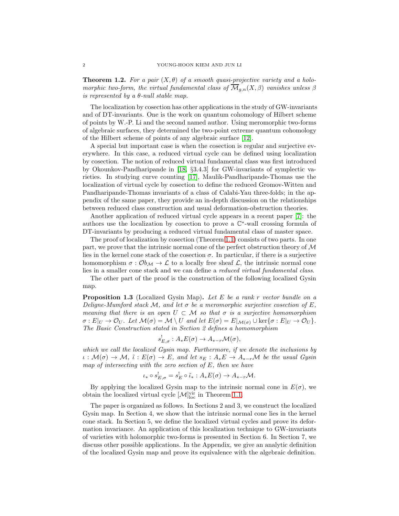**Theorem 1.2.** For a pair  $(X, \theta)$  of a smooth quasi-projective variety and a holo*morphic two-form, the virtual fundamental class of*  $\overline{\mathcal{M}}_{g,n}(X,\beta)$  *vanishes unless*  $\beta$ *is represented by a* θ*-null stable map.*

The localization by cosection has other applications in the study of GW-invariants and of DT-invariants. One is the work on quantum cohomology of Hilbert scheme of points by W.-P. Li and the second named author. Using meromorphic two-forms of algebraic surfaces, they determined the two-point extreme quantum cohomology of the Hilbert scheme of points of any algebraic surface [\[12\]](#page-24-1).

A special but important case is when the cosection is regular and surjective everywhere. In this case, a reduced virtual cycle can be defined using localization by cosection. The notion of reduced virtual fundamental class was first introduced by Okounkov-Pandharipande in [\[18,](#page-24-2) §3.4.3] for GW-invariants of symplectic varieties. In studying curve counting [\[17\]](#page-24-3), Maulik-Pandharipande-Thomas use the localization of virtual cycle by cosection to define the reduced Gromov-Witten and Pandharipande-Thomas invariants of a class of Calabi-Yau three-folds; in the appendix of the same paper, they provide an in-depth discussion on the relationships between reduced class construction and usual deformation-obstruction theories.

Another application of reduced virtual cycle appears in a recent paper [\[7\]](#page-24-4): the authors use the localization by cosection to prove a  $\mathbb{C}^*$ -wall crossing formula of DT-invariants by producing a reduced virtual fundamental class of master space.

The proof of localization by cosection (Theorem [1.1\)](#page-0-0) consists of two parts. In one part, we prove that the intrinsic normal cone of the perfect obstruction theory of  $\mathcal M$ lies in the kernel cone stack of the cosection  $\sigma$ . In particular, if there is a surjective homomorphism  $\sigma : \mathcal{O}_{\mathcal{M}} \to \mathcal{L}$  to a locally free sheaf  $\mathcal{L}$ , the intrinsic normal cone lies in a smaller cone stack and we can define a *reduced virtual fundamental class*.

The other part of the proof is the construction of the following localized Gysin map.

<span id="page-1-0"></span>Proposition 1.3 (Localized Gysin Map). *Let* E *be a rank* r *vector bundle on a Deligne-Mumford stack* M*, and let* σ *be a meromorphic surjective cosection of* E*, meaning that there is an open*  $U \subset \mathcal{M}$  *so that*  $\sigma$  *is a surjective homomorphism*  $\sigma: E|_U \to \mathcal{O}_U$ *. Let*  $\mathcal{M}(\sigma) = \mathcal{M} \setminus U$  *and let*  $E(\sigma) = E|_{\mathcal{M}(\sigma)} \cup \ker{\sigma : E|_U \to \mathcal{O}_U}$ *. The Basic Construction stated in Section 2 defines a homomorphism*

$$
s_{E,\sigma}^!: A_*E(\sigma) \to A_{*-r}\mathcal{M}(\sigma),
$$

*which we call the localized Gysin map. Furthermore, if we denote the inclusions by*  $\iota: \mathcal{M}(\sigma) \to \mathcal{M}, \tilde{\iota}: E(\sigma) \to E$ , and let  $s_E: A_*E \to A_{*-r}\mathcal{M}$  be the usual Gysin *map of intersecting with the zero section of* E*, then we have*

$$
\iota_* \circ s_{E,\sigma}^! = s_E^! \circ \tilde{\iota}_* : A_* E(\sigma) \to A_{*-r} \mathcal{M}.
$$

By applying the localized Gysin map to the intrinsic normal cone in  $E(\sigma)$ , we obtain the localized virtual cycle  $[\mathcal{M}]_{\text{loc}}^{\text{vir}}$  in Theorem [1.1.](#page-0-0)

The paper is organized as follows. In Sections 2 and 3, we construct the localized Gysin map. In Section 4, we show that the intrinsic normal cone lies in the kernel cone stack. In Section 5, we define the localized virtual cycles and prove its deformation invariance. An application of this localization technique to GW-invariants of varieties with holomorphic two-forms is presented in Section 6. In Section 7, we discuss other possible applications. In the Appendix, we give an analytic definition of the localized Gysin map and prove its equivalence with the algebraic definition.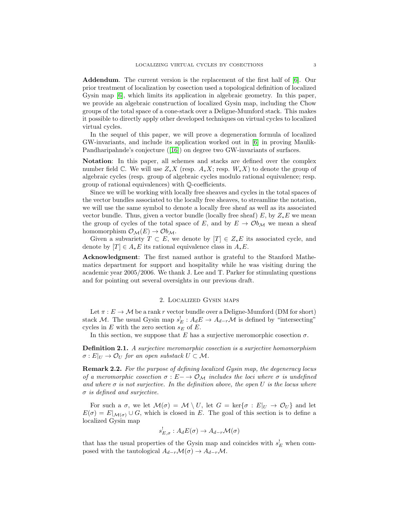Addendum. The current version is the replacement of the first half of [\[6\]](#page-24-5). Our prior treatment of localization by cosection used a topological definition of localized Gysin map [\[6\]](#page-24-5), which limits its application in algebraic geometry. In this paper, we provide an algebraic construction of localized Gysin map, including the Chow groups of the total space of a cone-stack over a Deligne-Mumford stack. This makes it possible to directly apply other developed techniques on virtual cycles to localized virtual cycles.

In the sequel of this paper, we will prove a degeneration formula of localized GW-invariants, and include its application worked out in [\[6\]](#page-24-5) in proving Maulik-Pandharipahnde's conjecture([\[16\]](#page-24-6)) on degree two GW-invariants of surfaces.

Notation: In this paper, all schemes and stacks are defined over the complex number field  $\mathbb C$ . We will use  $Z_*X$  (resp.  $A_*X$ ; resp.  $W_*X$ ) to denote the group of algebraic cycles (resp. group of algebraic cycles modulo rational equivalence; resp. group of rational equivalences) with Q-coefficients.

Since we will be working with locally free sheaves and cycles in the total spaces of the vector bundles associated to the locally free sheaves, to streamline the notation, we will use the same symbol to denote a locally free sheaf as well as its associated vector bundle. Thus, given a vector bundle (locally free sheaf) E, by  $Z_*E$  we mean the group of cycles of the total space of E, and by  $E \to \mathcal{O}b_{\mathcal{M}}$  we mean a sheaf homomorphism  $\mathcal{O}_\mathcal{M}(E) \to \mathcal{O}b_\mathcal{M}$ .

Given a subvariety  $T \subset E$ , we denote by  $[T] \in Z_*E$  its associated cycle, and denote by  $[T] \in A_*E$  its rational equivalence class in  $A_*E$ .

Acknowledgment: The first named author is grateful to the Stanford Mathematics department for support and hospitality while he was visiting during the academic year 2005/2006. We thank J. Lee and T. Parker for stimulating questions and for pointing out several oversights in our previous draft.

### 2. Localized Gysin maps

Let  $\pi : E \to M$  be a rank r vector bundle over a Deligne-Mumford (DM for short) stack M. The usual Gysin map  $s_E^! : A_dE \to A_{d-r}M$  is defined by "intersecting" cycles in E with the zero section  $s_E$  of E.

In this section, we suppose that E has a surjective meromorphic cosection  $\sigma$ .

Definition 2.1. *A surjective meromorphic cosection is a surjective homomorphism*  $\sigma: E|_U \to \mathcal{O}_U$  for an open substack  $U \subset \mathcal{M}$ .

Remark 2.2. *For the purpose of defining localized Gysin map, the degeneracy locus of a meromorphic cosection*  $\sigma : E \to \mathcal{O}_M$  *includes the loci where*  $\sigma$  *is undefined and where*  $\sigma$  *is not surjective. In the definition above, the open* U *is the locus where* σ *is defined and surjective.*

For such a  $\sigma$ , we let  $\mathcal{M}(\sigma) = \mathcal{M} \setminus U$ , let  $G = \text{ker}\{\sigma : E|_U \to \mathcal{O}_U\}$  and let  $E(\sigma) = E|_{\mathcal{M}(\sigma)} \cup G$ , which is closed in E. The goal of this section is to define a localized Gysin map

$$
s_{E,\sigma}^! : A_d E(\sigma) \to A_{d-r} \mathcal{M}(\sigma)
$$

that has the usual properties of the Gysin map and coincides with  $s_E^!$  when composed with the tautological  $A_{d-r}\mathcal{M}(\sigma) \to A_{d-r}\mathcal{M}$ .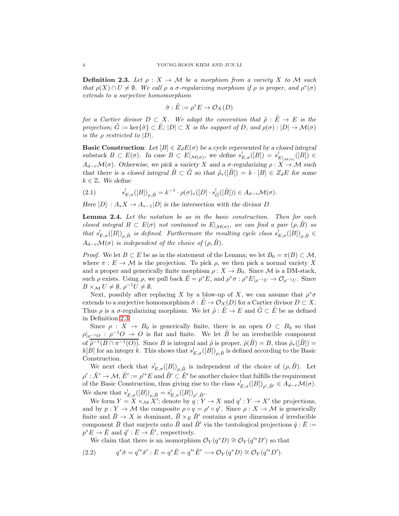<span id="page-3-0"></span>**Definition 2.3.** Let  $\rho: X \to M$  be a morphism from a variety X to M such *that*  $\rho(X) \cap U \neq \emptyset$ . We call  $\rho$  *a*  $\sigma$ -regularizing morphism if  $\rho$  is proper, and  $\rho^*(\sigma)$ *extends to a surjective homomorphism*

$$
\tilde{\sigma} : \tilde{E} := \rho^* E \to \mathcal{O}_X(D)
$$

*for a Cartier divisor*  $D \subset X$ *. We adapt the convention that*  $\tilde{\rho} : \tilde{E} \to E$  *is the projection;*  $G := \text{ker}\{\tilde{\sigma}\} \subset E$ ;  $|D| \subset X$  *is the support of* D, and  $\rho(\sigma) : |D| \to \mathcal{M}(\sigma)$ *is the*  $\rho$  *restricted to*  $|D|$ *.* 

**Basic Construction:** Let  $[B] \in Z_dE(\sigma)$  be a cycle represented by a closed integral substack  $B \subset E(\sigma)$ . In case  $B \subset E|_{\mathcal{M}(\sigma)}$ , we define  $s_{E,\sigma}^{\{b\}}([B]) = s_{E|_{\mathcal{M}(\sigma)}}^{\{b\}}([B]) \in$  $A_{d-r}\mathcal{M}(\sigma)$ . Otherwise, we pick a variety X and a  $\sigma$ -regularizing  $\rho: X \to \mathcal{M}$  such that there is a closed integral  $\tilde{B} \subset \tilde{G}$  so that  $\tilde{\rho}_*(\tilde{B}) = k \cdot [B] \in Z_dE$  for some  $k \in \mathbb{Z}$ . We define

(2.1) 
$$
s'_{E,\sigma}([B])_{\rho,\tilde{B}} = k^{-1} \cdot \rho(\sigma)_*([D] \cdot s_{\tilde{G}}^!([\tilde{B}])) \in A_{d-r} \mathcal{M}(\sigma).
$$

Here  $[D] \cdot : A_*X \to A_{*-1}[D]$  is the intersection with the divisor D.

<span id="page-3-2"></span>Lemma 2.4. *Let the notation be as in the basic construction. Then for each closed integral*  $B \subset E(\sigma)$  *not contained in*  $E|_{\mathcal{M}(\sigma)}$ *, we can find a pair*  $(\rho, \tilde{B})$  *so* that  $s_{E,\sigma}^!(B|)_{\rho,\tilde{B}}$  *is defined. Furthermore the resulting cycle class*  $s_{E,\sigma}^!([B])_{\rho,\tilde{B}} \in$  $A_{d-r}\mathcal{M}(\sigma)$  *is independent of the choice of*  $(\rho, \vec{B})$ *.* 

*Proof.* We let  $B \subset E$  be as in the statement of the Lemma; we let  $B_0 = \pi(B) \subset \mathcal{M}$ , where  $\pi : E \to \mathcal{M}$  is the projection. To pick  $\rho$ , we then pick a normal variety X and a proper and generically finite morphism  $\rho: X \to B_0$ . Since M is a DM-stack, such  $\rho$  exists. Using  $\rho$ , we pull back  $\tilde{E} = \rho^* E$ , and  $\rho^* \sigma : \rho^* E|_{\rho^{-1} U} \to \mathcal{O}_{\rho^{-1} U}$ . Since  $B \times_{\mathcal{M}} U \neq \emptyset$ ,  $\rho^{-1} U \neq \emptyset$ .

Next, possibly after replacing X by a blow-up of X, we can assume that  $\rho^*\sigma$ extends to a surjective homomorphism  $\tilde{\sigma}: E \to \mathcal{O}_X(D)$  for a Cartier divisor  $D \subset X$ . Thus  $\rho$  is a  $\sigma$ -regularizing morphism. We let  $\tilde{\rho}: \tilde{E} \to E$  and  $\tilde{G} \subset \tilde{E}$  be as defined in Definition [2.3.](#page-3-0)

Since  $\rho : X \to B_0$  is generically finite, there is an open  $O \subset B_0$  so that  $\rho|_{\rho^{-1}O} : \rho^{-1}O \to O$  is flat and finite. We let  $\tilde{B}$  be an irreducible component of  $\overline{\rho}^{-1}(B \cap \pi^{-1}(O))$ . Since B is integral and  $\tilde{\rho}$  is proper,  $\tilde{\rho}(\tilde{B}) = B$ , thus  $\tilde{\rho}_*(\tilde{B}) =$  $k[B]$  for an integer k. This shows that  $s_{E,\sigma}^!([B])_{\rho,\tilde{B}}$  is defined according to the Basic Construction.

We next check that  $s_{E,\sigma}^{\dagger}([B])_{\rho,\tilde{B}}$  is independent of the choice of  $(\rho,\tilde{B})$ . Let  $\rho':\tilde X'\to \mathcal{M}, \tilde E':=\rho'^*E \text{ and } \tilde B'\subset \tilde E'$  be another choice that fulfills the requirement of the Basic Construction, thus giving rise to the class  $s_{E,\sigma}^!([B])_{\rho',\tilde{B}'}\in A_{d-r}\mathcal{M}(\sigma)$ . We show that  $s_{E,\sigma}^!([B])_{\rho,\tilde{B}} = s_{E,\sigma}^!([B])_{\rho',\tilde{B}'}$ .

We form  $Y = X \times_{\mathcal{M}} X'$ ; denote by  $q: Y \to X$  and  $q': Y \to X'$  the projections, and by  $p: Y \to M$  the composite  $\rho \circ q = \rho' \circ q'$ . Since  $\rho: X \to M$  is generically finite and  $\tilde{B} \to X$  is dominant,  $\tilde{B} \times_E \tilde{B}'$  contains a pure dimension d irreducible component B that surjects onto B and B' via the tautological projections  $\tilde{q} : E :=$  $p^*E \to \tilde{E}$  and  $\tilde{q}' : \bar{E} \to \tilde{E}'$ , respectively.

<span id="page-3-1"></span>We claim that there is an isomorphism  $\mathcal{O}_Y(q^*D) \cong \mathcal{O}_Y(q'^*D')$  so that

(2.2) 
$$
q^*\tilde{\sigma} = q'^*\tilde{\sigma}' : \bar{E} = q^*\tilde{E} = q'^*\tilde{E}' \longrightarrow \mathcal{O}_Y(q^*D) \cong \mathcal{O}_Y(q'^*D').
$$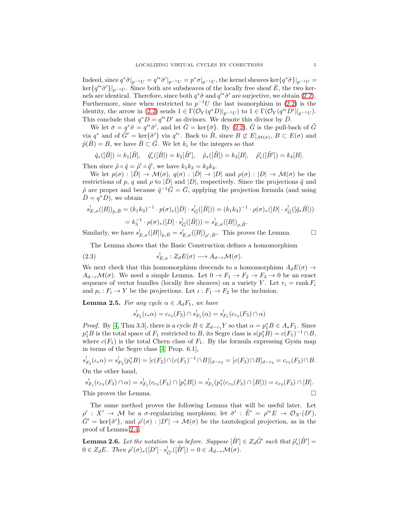Indeed, since  $q^*\tilde{\sigma}|_{p^{-1}U} = q'^*\tilde{\sigma}|_{p^{-1}U} = p^*\sigma|_{p^{-1}U}$ , the kernel sheaves ker $\{q^*\tilde{\sigma}\}|_{p^{-1}U} =$  $\ker\{q'^*\tilde{\sigma}'\}\vert_{p^{-1}U}$ . Since both are subsheaves of the locally free sheaf  $\bar{E}$ , the two kernels are identical. Therefore, since both  $q^*\tilde{\sigma}$  and  $q'^*\tilde{\sigma}'$  are surjective, we obtain [\(2.2\)](#page-3-1). Furthermore, since when restricted to  $p^{-1}U$  the last isomorphism in [\(2.2\)](#page-3-1) is the identity, the arrow in [\(2.2\)](#page-3-1) sends  $1 \in \Gamma(\mathcal{O}_Y(q^*D)|_{p^{-1}U})$  to  $1 \in \Gamma(\mathcal{O}_Y(q'^*D')|_{p^{-1}U})$ . This conclude that  $q^*D = q'^*D'$  as divisors. We denote this divisor by  $\bar{D}$ .

We let  $\bar{\sigma} = q^* \tilde{\sigma} = q'^* \tilde{\sigma}'$ , and let  $\bar{G} = \text{ker}\{\bar{\sigma}\}\$ . By [\(2.2\)](#page-3-1),  $\bar{G}$  is the pull-back of  $\tilde{G}$ via  $q^*$  and of  $\tilde{G}' = \ker{\{\tilde{\sigma}'\}}$  via  $q'^*$ . Back to  $\bar{B}$ , since  $B \not\subset E|_{\mathcal{M}(\sigma)}$ ,  $B \subset E(\sigma)$  and  $\tilde{p}(\bar{B}) = B$ , we have  $\bar{B} \subset \bar{G}$ . We let  $k_i$  be the integers so that

$$
\tilde{q}_{*}([\bar{B}]) = k_{1}[\tilde{B}], \quad \tilde{q}'_{*}([\bar{B}]) = k_{2}[\tilde{B}'], \quad \tilde{\rho}_{*}([\tilde{B}]) = k_{3}[B], \quad \tilde{\rho}'_{*}([\tilde{B}']) = k_{4}[B].
$$

Then since  $\tilde{\rho} \circ \tilde{q} = \tilde{\rho}' \circ \tilde{q}'$ , we have  $k_1 k_3 = k_2 k_4$ .

We let  $p(\sigma) : |\bar{D}| \to \mathcal{M}(\sigma)$ ,  $q(\sigma) : |\bar{D}| \to |D|$  and  $\rho(\sigma) : |D| \to \mathcal{M}(\sigma)$  be the restrictions of p, q and  $\rho$  to  $|\bar{D}|$  and  $|D|$ , respectively. Since the projections  $\tilde{q}$  and  $\tilde{\rho}$  are proper and because  $\tilde{q}^{-1}\tilde{G} = \bar{G}$ , applying the projection formula (and using  $\overline{D} = q^*D$ , we obtain

$$
s_{E,\sigma}^!([B])_{p,\bar{B}} = (k_1k_3)^{-1} \cdot p(\sigma)_*([{\bar{D}}] \cdot s_{\bar{G}}^!([{\bar{B}}])) = (k_1k_3)^{-1} \cdot \rho(\sigma)_*([D] \cdot s_{\tilde{G}}^!([\tilde{q}_*{\bar{B}}]))
$$
  
=  $k_3^{-1} \cdot \rho(\sigma)_*([D] \cdot s_{\tilde{G}}^!([\tilde{B}])) = s_{E,\sigma}^!([B])_{\rho,\tilde{B}}.$ 

Similarly, we have  $s_{E,\sigma}^!([B])_{p,\bar{B}} = s_{E,\sigma}^!([B])_{\rho',\bar{B}'}$ . This proves the Lemma.

The Lemma shows that the Basic Construction defines a homomorphism

(2.3) 
$$
s_{E,\sigma}^!: Z_d E(\sigma) \longrightarrow A_{d-r} \mathcal{M}(\sigma).
$$

We next check that this homomorphism descends to a homomorphism  $A_dE(\sigma) \rightarrow$  $A_{d-r}\mathcal{M}(\sigma)$ . We need a simple Lemma. Let  $0 \to F_1 \to F_2 \to F_3 \to 0$  be an exact sequence of vector bundles (locally free sheaves) on a variety Y. Let  $r_i = \text{rank } F_i$ and  $p_i : F_i \to Y$  be the projections. Let  $\iota : F_1 \to F_2$  be the inclusion.

<span id="page-4-1"></span>**Lemma 2.5.** For any cycle  $\alpha \in A_dF_1$ , we have

$$
s_{F_2}^!(\iota_*\alpha) = c_{r_3}(F_3) \cap s_{F_1}^!(\alpha) = s_{F_1}^!(c_{r_3}(F_3) \cap \alpha)
$$

*Proof.* By [\[4,](#page-24-7) Thm 3.3], there is a cycle  $B \in Z_{d-r_1}Y$  so that  $\alpha = p_1^*B \in A_*F_1$ . Since  $p_1^*B$  is the total space of  $F_1$  restricted to B, its Segre class is  $s(p_1^*B) = c(F_1)^{-1} \cap B$ , where  $c(F_1)$  is the total Chern class of  $F_1$ . By the formula expressing Gysin map in terms of the Segre class [\[4,](#page-24-7) Prop. 6.1],

$$
s_{F_2}^!(\iota_*\alpha) = s_{F_2}^!(p_1^*B) = [c(F_2) \cap (c(F_1)^{-1} \cap B)]_{d-r_2} = [c(F_3) \cap B]_{d-r_2} = c_{r_3}(F_3) \cap B.
$$
  
On the other hand

On the other hand,

$$
s_{F_1}^!(c_{r_3}(F_3) \cap \alpha) = s_{F_1}^!(c_{r_3}(F_3) \cap [p_1^*B]) = s_{F_1}^!(p_1^*(c_{r_3}(F_3) \cap [B])) = c_{r_3}(F_3) \cap [B].
$$
  
This proves the Lemma.

The same method proves the following Lemma that will be useful later. Let  $\rho' : X' \to M$  be a  $\sigma$ -regularizing morphism; let  $\tilde{\sigma}' : \tilde{E}' = \rho'^* E \to \mathcal{O}_{X'}(D'),$  $\tilde{G}' = \text{ker}\{\tilde{\sigma}'\}$ , and  $\rho'(\sigma) : |D'| \to \mathcal{M}(\sigma)$  be the tautological projection, as in the proof of Lemma [2.4.](#page-3-2)

<span id="page-4-0"></span>**Lemma 2.6.** Let the notation be as before. Suppose  $[\tilde{B}'] \in Z_d \tilde{G}'$  such that  $\tilde{\rho}'_*[\tilde{B}'] =$  $0 \in Z_dE$ *. Then*  $\rho'(\sigma)_*([D'] \cdot s_{\tilde{G}'}^!([\tilde{B}']) = 0 \in A_{d-r} \mathcal{M}(\sigma)$ *.*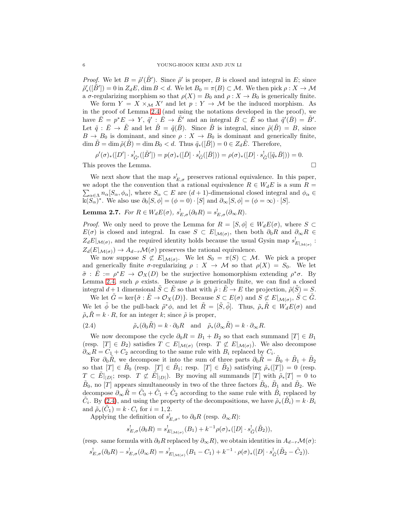*Proof.* We let  $B = \tilde{\rho}'(\tilde{B}')$ . Since  $\tilde{\rho}'$  is proper, B is closed and integral in E; since  $\tilde{\rho}'_*([\tilde{B}'])=0$  in  $Z_dE$ , dim  $B < d$ . We let  $B_0 = \pi(B) \subset \mathcal{M}$ . We then pick  $\rho: X \to \mathcal{M}$ a  $\sigma$ -regularizing morphism so that  $\rho(X) = B_0$  and  $\rho: X \to B_0$  is generically finite.

We form  $Y = X \times_M X'$  and let  $p: Y \to M$  be the induced morphism. As in the proof of Lemma [2.4](#page-3-2) (and using the notations developed in the proof), we have  $\bar{E} = p^*E \to Y$ ,  $\tilde{q}' : \bar{E} \to \tilde{E}'$  and an integral  $\bar{B} \subset \bar{E}$  so that  $\tilde{q}'(\bar{B}) = \tilde{B}'$ . Let  $\tilde{q} : \bar{E} \to \tilde{E}$  and let  $\tilde{B} = \tilde{q}(\bar{B})$ . Since  $\tilde{B}$  is integral, since  $\tilde{\rho}(\tilde{B}) = B$ , since  $B \to B_0$  is dominant, and since  $\rho: X \to B_0$  is dominant and generically finite,  $\dim \tilde{B} = \dim \tilde{\rho}(\tilde{B}) = \dim B_0 < d.$  Thus  $\tilde{q}_*(\overline{B}) = 0 \in Z_d\tilde{E}.$  Therefore,

$$
\rho'(\sigma)_*([D'] \cdot s^!_{\tilde{G}'}([\tilde{B}']) = p(\sigma)_*([\bar{D}] \cdot s^!_{\bar{G}}([\bar{B}])) = \rho(\sigma)_*([D] \cdot s^!_{\tilde{G}}([\tilde{q}_*\bar{B}])) = 0.
$$
  
This proves the Lemma.

We next show that the map  $s_{E,\sigma}^!$  preserves rational equivalence. In this paper, we adopt the the convention that a rational equivalence  $R \in W_dE$  is a sum  $R =$  $\sum_{\alpha \in \Lambda} n_{\alpha} [S_{\alpha}, \phi_{\alpha}]$ , where  $S_{\alpha} \subset E$  are  $(d+1)$ -dimensional closed integral and  $\phi_{\alpha} \in$  $\Bbbk(\overline{S}_{\alpha})^*$ . We also use  $\partial_0[S, \phi] = (\phi = 0) \cdot [S]$  and  $\partial_{\infty}[S, \phi] = (\phi = \infty) \cdot [S]$ .

# <span id="page-5-1"></span>**Lemma 2.7.** *For*  $R \in W_dE(\sigma)$ ,  $s_{E,\sigma}^!(\partial_0 R) = s_{E,\sigma}^!(\partial_{\infty} R)$ .

*Proof.* We only need to prove the Lemma for  $R = [S, \phi] \in W_dE(\sigma)$ , where  $S \subset$  $E(\sigma)$  is closed and integral. In case  $S \subset E|_{\mathcal{M}(\sigma)}$ , then both  $\partial_0 R$  and  $\partial_{\infty} R \in$  $Z_dE|_{\mathcal{M}(\sigma)}$ , and the required identity holds because the usual Gysin map  $s_{E|_{\mathcal{M}(\sigma)}}^{\perp}$ :  $Z_d(E|_{\mathcal{M}(\sigma)}) \to A_{d-r}\mathcal{M}(\sigma)$  preserves the rational equivalence.

We now suppose  $S \not\subset E|_{\mathcal{M}(\sigma)}$ . We let  $S_0 = \pi(S) \subset \mathcal{M}$ . We pick a proper and generically finite  $\sigma$ -regularizing  $\rho : X \to M$  so that  $\rho(X) = S_0$ . We let  $\tilde{\sigma}$ :  $\tilde{E} := \rho^* E \to \mathcal{O}_X(D)$  be the surjective homomorphism extending  $\rho^* \sigma$ . By Lemma [2.4,](#page-3-2) such  $\rho$  exists. Because  $\rho$  is generically finite, we can find a closed integral  $d+1$  dimensional  $\tilde{S} \subset \tilde{E}$  so that with  $\tilde{\rho} : \tilde{E} \to E$  the projection,  $\tilde{\rho}(\tilde{S}) = S$ .

We let  $\tilde{G} = \ker{\{\tilde{\sigma} : \tilde{E} \to \mathcal{O}_X(D)\}}$ . Because  $S \subset E(\sigma)$  and  $S \not\subset E|_{\mathcal{M}(\sigma)}, \tilde{S} \subset \tilde{G}$ . We let  $\tilde{\phi}$  be the pull-back  $\tilde{\rho}^*\phi$ , and let  $\tilde{R} = [\tilde{S}, \tilde{\phi}]$ . Thus,  $\tilde{\rho}_*\tilde{R} \in W_dE(\sigma)$  and  $\tilde{\rho} * \tilde{R} = k \cdot R$ , for an integer k; since  $\tilde{\rho}$  is proper,

<span id="page-5-0"></span>(2.4) 
$$
\tilde{\rho}_*(\partial_0 \tilde{R}) = k \cdot \partial_0 R \text{ and } \tilde{\rho}_*(\partial_\infty \tilde{R}) = k \cdot \partial_\infty R.
$$

We now decompose the cycle  $\partial_0 R = B_1 + B_2$  so that each summand  $[T] \in B_1$ (resp.  $[T] \in B_2$ ) satisfies  $T \subset E|_{\mathcal{M}(\sigma)}$  (resp.  $T \not\subset E|_{\mathcal{M}(\sigma)}$ ). We also decompose  $\partial_{\infty}R = C_1 + C_2$  according to the same rule with  $B_i$  replaced by  $C_i$ .

For  $\partial_0 \tilde{R}$ , we decompose it into the sum of three parts  $\partial_0 \tilde{R} = \tilde{B}_0 + \tilde{B}_1 + \tilde{B}_2$ so that  $[T] \in \tilde{B}_0$  (resp.  $[T] \in \tilde{B}_1$ ; resp.  $[T] \in \tilde{B}_2$ ) satisfying  $\tilde{\rho}_*([T]) = 0$  (resp.  $T \subset \tilde{E}|_{|D|}$ ; resp.  $T \not\subset \tilde{E}|_{|D|}$ ). By moving all summands  $[T]$  with  $\tilde{\rho}_*[T] = 0$  to  $\tilde{B}_0$ , no [T] appears simultaneously in two of the three factors  $\tilde{B}_0$ ,  $\tilde{B}_1$  and  $\tilde{B}_2$ . We decompose  $\partial_{\infty} \tilde{R} = \tilde{C}_0 + \tilde{C}_1 + \tilde{C}_2$  according to the same rule with  $\tilde{B}_i$  replaced by  $\tilde{C}_i$ . By [\(2.4\)](#page-5-0), and using the property of the decompositions, we have  $\tilde{\rho}_*(\tilde{B}_i) = k \cdot \tilde{B}_i$ and  $\tilde{\rho}_{*}(\tilde{C}_1) = k \cdot C_i$  for  $i = 1, 2$ .

Applying the definition of  $s_{E,\sigma}^!$ , to  $\partial_0 R$  (resp.  $\partial_{\infty} R$ ):

$$
s^{!}_{E,\sigma}(\partial_{0}R) = s^{!}_{E|_{\mathcal{M}(\sigma)}}(B_{1}) + k^{-1}\rho(\sigma)_{*}([D] \cdot s^{!}_{\tilde{G}}(\tilde{B}_{2})),
$$

(resp. same formula with  $\partial_0 R$  replaced by  $\partial_\infty R$ ), we obtain identities in  $A_{d-r}\mathcal{M}(\sigma)$ :

$$
s_{E,\sigma}^!(\partial_0 R) - s_{E,\sigma}^!(\partial_{\infty} R) = s_{E|_{\mathcal{M}(\sigma)}}^!(B_1 - C_1) + k^{-1} \cdot \rho(\sigma)_*([D] \cdot s_{\tilde{G}}^!(\tilde{B}_2 - \tilde{C}_2)).
$$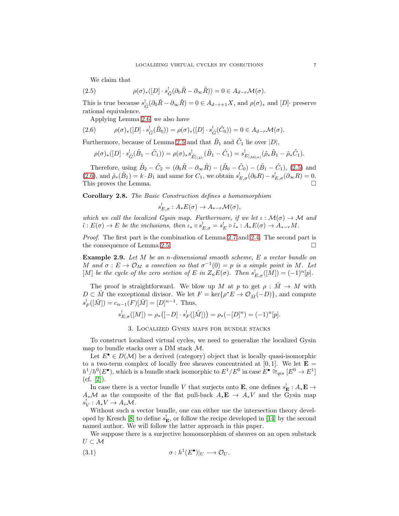<span id="page-6-0"></span>We claim that

(2.5) 
$$
\rho(\sigma)_*([D] \cdot s_{\tilde{G}}^!(\partial_0 \tilde{R} - \partial_\infty \tilde{R})) = 0 \in A_{d-r} \mathcal{M}(\sigma).
$$

This is true because  $s_{\tilde{G}}^!(\partial_0\tilde{R}-\partial_\infty\tilde{R})=0\in A_{d-r+1}X$ , and  $\rho(\sigma)_*$  and  $[D]$ · preserve rational equivalence.

<span id="page-6-1"></span>Applying Lemma [2.6,](#page-4-0) we also have

$$
(2.6) \qquad \rho(\sigma)_*([D] \cdot s_{\tilde{G}}^!(\tilde{B}_0)) = \rho(\sigma)_*([D] \cdot s_{\tilde{G}}^!(\tilde{C}_0)) = 0 \in A_{d-r} \mathcal{M}(\sigma).
$$

Furthermore, because of Lemma [2.5](#page-4-1) and that  $\tilde{B}_1$  and  $\tilde{C}_1$  lie over  $|D|$ ,

$$
\rho(\sigma)_*([D] \cdot s_{\tilde{G}}^! (\tilde{B}_1 - \tilde{C}_1)) = \rho(\sigma)_* s_{\tilde{E}|_{|D|}}^! (\tilde{B}_1 - \tilde{C}_1) = s_{E|_{\mathcal{M}(\sigma)}}^! (\tilde{\rho}_* \tilde{B}_1 - \tilde{\rho}_* \tilde{C}_1).
$$

Therefore, using  $\tilde{B}_2 - \tilde{C}_2 = (\partial_0 \tilde{R} - \partial_{\infty} \tilde{R}) - (\tilde{B}_0 - \tilde{C}_0) - (\tilde{B}_1 - \tilde{C}_1)$ , [\(2.5\)](#page-6-0) and [\(2.6\)](#page-6-1), and  $\tilde{\rho}_{*}(\tilde{B}_1) = k \cdot B_1$  and same for  $C_1$ , we obtain  $s_{E,\sigma}^{!}(\partial_0 R) - s_{E,\sigma}^{!}(\partial_{\infty} R) = 0$ . This proves the Lemma.  $\square$ 

Corollary 2.8. *The Basic Construction defines a homomorphism*

$$
s_{E,\sigma}^! : A_*E(\sigma) \to A_{*-r}\mathcal{M}(\sigma),
$$

*which we call the localized Gysin map. Furthermore, if we let*  $\iota : \mathcal{M}(\sigma) \to \mathcal{M}$  *and*  $\tilde{\iota}: E(\sigma) \to E$  be the inclusions, then  $\iota_* \circ s_{E,\sigma}^! = s_E^! \circ \tilde{\iota}_* : A_* E(\sigma) \to A_{*-r}M$ .

*Proof.* The first part is the combination of Lemma [2.7](#page-5-1) and [2.4.](#page-3-2) The second part is the consequence of Lemma [2.5.](#page-4-1)

Example 2.9. *Let* M *be an* n*-dimensional smooth scheme,* E *a vector bundle on* M and  $\sigma : E \to \mathcal{O}_M$  a cosection so that  $\sigma^{-1}(0) = p$  is a simple point in M. Let [M] *be the cycle of the zero section of* E *in*  $Z_nE(\sigma)$ *. Then*  $s_{E,\sigma}^{\dagger}([M]) = (-1)^n[p]$ *.* 

The proof is straightforward. We blow up M at p to get  $\rho : \tilde{M} \to M$  with  $D \subset \tilde{M}$  the exceptional divisor. We let  $F = \ker\{\rho^* E \to \mathcal{O}_{\tilde{M}}(-D)\}\$ , and compute  $s_F^!([\tilde{M}]) = c_{n-1}(F)[\tilde{M}] = [D]^{n-1}$ . Thus,

$$
s_{E,\sigma}^!([M]) = \rho_*([ -D] \cdot s_F^!([M])) = \rho_*(-[D]^n) = (-1)^n [p].
$$

3. Localized Gysin maps for bundle stacks

To construct localized virtual cycles, we need to generalize the localized Gysin map to bundle stacks over a DM stack M.

Let  $E^{\bullet} \in D(\mathcal{M})$  be a derived (category) object that is locally quasi-isomorphic to a two-term complex of locally free sheaves concentrated at [0, 1]. We let  $\mathbf{E} =$  $h^1/h^0(E^{\bullet})$ , which is a bundle stack isomorphic to  $E^1/E^0$  in case  $E^{\bullet} \cong_{qis} [E^0 \to E^1]$  $(cf. [2]).$  $(cf. [2]).$  $(cf. [2]).$ 

In case there is a vector bundle V that surjects onto **E**, one defines  $s_{\mathbf{E}}^{\perp} : A_{*} \mathbf{E} \to$  $A_*\mathcal{M}$  as the composite of the flat pull-back  $A_*\mathbf{E} \to A_*V$  and the Gysin map  $s_V^!: A_*V \to A_*\mathcal{M}.$ 

Without such a vector bundle, one can either use the intersection theory devel-oped by Kresch [\[8\]](#page-24-9) to define  $s_{\mathbf{E}}^!$ , or follow the recipe developed in [\[14\]](#page-24-10) by the second named author. We will follow the latter approach in this paper.

We suppose there is a surjective homomorphism of sheaves on an open substack  $U \subset \mathcal{M}$ 

(3.1) 
$$
\sigma : h^1(E^{\bullet})|_U \longrightarrow \mathcal{O}_U.
$$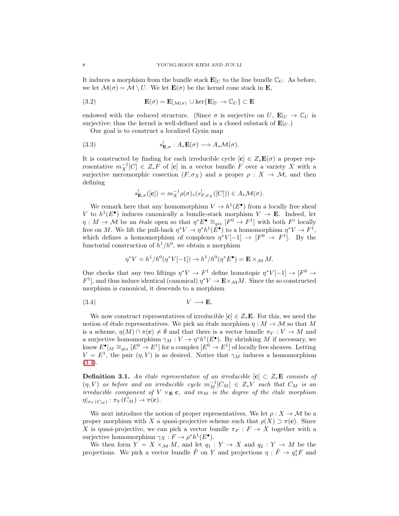It induces a morphism from the bundle stack  $\mathbf{E}|_U$  to the line bundle  $\mathbb{C}_U$ . As before, we let  $\mathcal{M}(\sigma) = \mathcal{M} \setminus U$ . We let  $\mathbf{E}(\sigma)$  be the kernel cone stack in **E**,

(3.2) 
$$
\mathbf{E}(\sigma) = \mathbf{E}|_{\mathcal{M}(\sigma)} \cup \ker{\mathbf{E}|_{U} \to \mathbb{C}_{U}} \subset \mathbf{E}
$$

endowed with the reduced structure. (Since  $\sigma$  is surjective on U,  $\mathbf{E}|_U \to \mathbb{C}_U$  is surjective; thus the kernel is well-defined and is a closed substack of  $\mathbf{E}|_{U}$ .)

Our goal is to construct a localized Gysin map

(3.3) 
$$
s_{\mathbf{E},\sigma}^{\prime} : A_{*}\mathbf{E}(\sigma) \longrightarrow A_{*}\mathcal{M}(\sigma).
$$

It is constructed by finding for each irreducible cycle  $[c] \in Z_*\mathbf{E}(\sigma)$  a proper representative  $m_X^{-1}[C] \in Z_*F$  of [c] in a vector bundle F over a variety X with a surjective meromorphic cosection  $(F, \sigma_X)$  and a proper  $\rho : X \to M$ , and then defining

$$
s_{\mathbf{E},\sigma}^!([\mathbf{c}]) = m_X^{-1} \rho(\sigma)_* (s_{F,\sigma_X}^!([C])) \in A_* \mathcal{M}(\sigma).
$$

We remark here that any homomorphism  $V \to h^1(E^{\bullet})$  from a locally free sheaf V to  $h^1(E^{\bullet})$  induces canonically a bundle-stack morphism  $V \to \mathbf{E}$ . Indeed, let  $\eta: M \to \mathcal{M}$  be an étale open so that  $\eta^* E^{\bullet} \cong_{qis} [F^0 \to F^1]$  with both  $F^i$  locally free on M. We lift the pull-back  $\eta^* V \to \eta^* h^1(E^{\bullet})$  to a homomorphism  $\eta^* V \to F^1$ , which defines a homomorphism of complexes  $\eta^*V[-1] \to [F^0 \to F^1]$ . By the functorial construction of  $h^1/h^0$ , we obtain a morphism

<span id="page-7-0"></span>
$$
\eta^* V = h^1/h^0(\eta^* V[-1]) \to h^1/h^0(\eta^* E^{\bullet}) = \mathbf{E} \times_{\mathcal{M}} M.
$$

One checks that any two liftings  $\eta^* V \to F^1$  define homotopic  $\eta^* V[-1] \to [F^0 \to$  $F^1$ , and thus induce identical (canonical)  $\eta^* V \to \mathbf{E} \times_M M$ . Since the so constructed morphism is canonical, it descends to a morphism

$$
(3.4) \t\t\t V \longrightarrow E.
$$

We now construct representatives of irreducible  $[c] \in Z_*\mathbf{E}$ . For this, we need the notion of étale representatives. We pick an étale morphism  $\eta : M \to M$  so that M is a scheme,  $\eta(M) \cap \pi(c) \neq \emptyset$  and that there is a vector bundle  $\pi_V : V \to M$  and a surjective homomorphism  $\gamma_M : V \to \eta^* h^1(E^{\bullet})$ . By shrinking M if necessary, we know  $E^{\bullet}|_M \cong_{qis} [E^0 \to E^1]$  for a complex  $[E^0 \to E^1]$  of locally free sheaves. Letting  $V = E<sup>1</sup>$ , the pair  $(\eta, V)$  is as desired. Notice that  $\gamma_M$  induces a homomorphism [\(3.4\)](#page-7-0).

<span id="page-7-1"></span>**Definition 3.1.** An étale representative of an irreducible  $[c] \subset Z_*E$  consists of  $(\eta, V)$  *as before and an irreducible cycle*  $m_M^{-1}[C_M] \in Z_*V$  *such that*  $C_M$  *is an irreducible component of*  $V \times_E \mathbf{c}$ , and  $m_M$  *is the degree of the étale morphism*  $\eta|_{\pi_V(C_M)} : \pi_V(C_M) \to \pi(\mathbf{c}).$ 

We next introduce the notion of proper representatives. We let  $\rho: X \to \mathcal{M}$  be a proper morphism with X a quasi-projective scheme such that  $\rho(X) \supset \pi(c)$ . Since X is quasi-projective, we can pick a vector bundle  $\pi_F : F \to X$  together with a surjective homomorphism  $\gamma_X : F \to \rho^* h^1(E^{\bullet}).$ 

We then form  $Y = X \times_M M$ , and let  $q_1 : Y \to X$  and  $q_2 : Y \to M$  be the projections. We pick a vector bundle  $\tilde{F}$  on Y and projections  $\eta : \tilde{F} \to q_1^*F$  and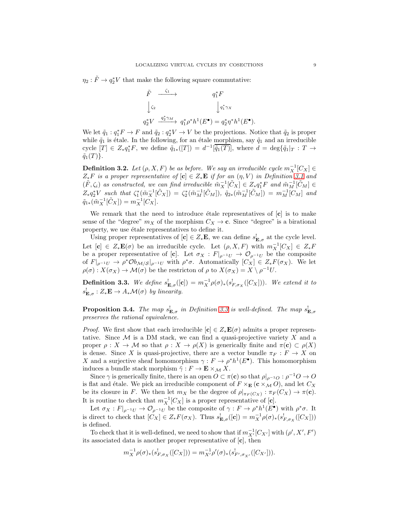$\eta_2 : \tilde{F} \to q_2^*V$  that make the following square commutative:

$$
\tilde{F} \xrightarrow{\zeta_1} \qquad q_1^* F
$$
\n
$$
\downarrow \zeta_2 \qquad \qquad \downarrow q_1^* \gamma_X
$$
\n
$$
q_2^* V \xrightarrow{q_2^* \gamma_M} q_1^* \rho^* h^1(E^{\bullet}) = q_2^* \eta^* h^1(E^{\bullet}).
$$

We let  $\tilde{q}_1 : q_1^* F \to F$  and  $\tilde{q}_2 : q_2^* V \to V$  be the projections. Notice that  $\tilde{q}_2$  is proper while  $\tilde{q}_1$  is étale. In the following, for an étale morphism, say  $\tilde{q}_1$  and an irreducible cycle  $[T] \in Z_*q_1^*F$ , we define  $\tilde{q}_{1*}([T]) = d^{-1}[\overline{\tilde{q}_1(T)}]$ , where  $d = \deg{\{\tilde{q}_1 | T : T \to T\}}$  $\tilde{q}_1(T)\}.$ 

**Definition 3.2.** *Let*  $(\rho, X, F)$  *be as before. We say an irreducible cycle*  $m_X^{-1}[C_X] \in$  $Z_*F$  *is a proper representative of*  $[c] \in Z_*E$  *if for an*  $(\eta, V)$  *in Definition* [3.1](#page-7-1) *and*  $(\tilde{F}, \zeta_i)$  as constructed, we can find irreducible  $\tilde{m}_X^{-1}[\tilde{C}_X] \in Z_* q_1^* F$  and  $\tilde{m}_M^{-1}[\tilde{C}_M] \in$  $Z_*q_2^*V$  such that  $\zeta_1^*(\tilde{m}_X^{-1}[\tilde{C}_X]) = \zeta_2^*(\tilde{m}_M^{-1}[\tilde{C}_M])$ ,  $\tilde{q}_{2*}(\tilde{m}_M^{-1}[\tilde{C}_M]) = m_M^{-1}[C_M]$  and  $\tilde{q}_{1*}(\tilde{m}_X^{-1}[\tilde{C}_X]) = m_X^{-1}[C_X].$ 

We remark that the need to introduce étale representatives of  $[c]$  is to make sense of the "degree"  $m_X$  of the morphism  $C_X \to \mathbf{c}$ . Since "degree" is a birational property, we use étale representatives to define it.

Using proper representatives of  $[c] \in Z_*\mathbf{E}$ , we can define  $s_{\mathbf{E},\sigma}^!$  at the cycle level. Let  $[\mathbf{c}] \in Z_*\mathbf{E}(\sigma)$  be an irreducible cycle. Let  $(\rho, X, F)$  with  $m_X^{-1}[C_X] \in Z_*F$ be a proper representative of [c]. Let  $\sigma_X : F|_{\rho^{-1}U} \to \mathcal{O}_{\rho^{-1}U}$  be the composite of  $F|_{\rho^{-1}U} \to \rho^* \mathcal{O}b_{\mathcal{M}/\mathcal{S}}|_{\rho^{-1}U}$  with  $\rho^* \sigma$ . Automatically  $[C_X] \in Z_*F(\sigma_X)$ . We let  $\rho(\sigma) : X(\sigma_X) \to \mathcal{M}(\sigma)$  be the restricton of  $\rho$  to  $X(\sigma_X) = X \setminus \rho^{-1} U$ .

<span id="page-8-0"></span>**Definition 3.3.** We define  $s_{\mathbf{E},\sigma}^{\dagger}([\mathbf{c}]) = m_X^{-1} \rho(\sigma)_*(s_{F,\sigma_X}^{\dagger}([C_X]))$ . We extend it to  $s_{\mathbf{E},\sigma}^! : Z_*\mathbf{E} \to A_*\mathcal{M}(\sigma)$  by linearity.

<span id="page-8-1"></span>**Proposition 3.4.** The map  $s_{\mathbf{E},\sigma}^!$  in Definition [3.3](#page-8-0) is well-defined. The map  $s_{\mathbf{E},\sigma}^!$ *preserves the rational equivalence.*

*Proof.* We first show that each irreducible  $[c] \in Z_*\mathbf{E}(\sigma)$  admits a proper representative. Since  $M$  is a DM stack, we can find a quasi-projective variety  $X$  and a proper  $\rho: X \to \mathcal{M}$  so that  $\rho: X \to \rho(X)$  is generically finite and  $\pi(c) \subset \rho(X)$ is dense. Since X is quasi-projective, there are a vector bundle  $\pi_F : F \to X$  on X and a surjective sheaf homomorphism  $\gamma : F \to \rho^* h^1(E^{\bullet})$ . This homomorphism induces a bundle stack morphism  $\tilde{\gamma}: F \to \mathbf{E} \times_{\mathcal{M}} X$ .

Since  $\gamma$  is generically finite, there is an open  $O \subset \pi(c)$  so that  $\rho|_{\rho^{-1}O} : \rho^{-1}O \to O$ is flat and étale. We pick an irreducible component of  $F \times_{\mathbf{E}} (c \times_M O)$ , and let  $C_X$ be its closure in F. We then let  $m_X$  be the degree of  $\rho|_{\pi_F(C_X)} : \pi_F(C_X) \to \pi(\mathbf{c}).$ It is routine to check that  $m_X^{-1}[C_X]$  is a proper representative of [**c**].

Let  $\sigma_X : F|_{\rho^{-1}U} \to \mathcal{O}_{\rho^{-1}U}$  be the composite of  $\gamma : F \to \rho^* h^1(E^{\bullet})$  with  $\rho^* \sigma$ . It is direct to check that  $[C_X] \in Z_*F(\sigma_X)$ . Thus  $s_{\mathbf{E},\sigma}^!([\mathbf{c}]) = m_X^{-1}\rho(\sigma)_*(s_{F,\sigma_X}^!([C_X]))$ is defined.

To check that it is well-defined, we need to show that if  $m_{X'}^{-1}[C_{X'}]$  with  $(\rho', X', F')$ its associated data is another proper representative of [c], then

$$
m_X^{-1} \rho(\sigma)_*(s_{F,\sigma_X}^!([C_X])) = m_{X'}^{-1} \rho'(\sigma)_*(s_{F',\sigma_{X'}}^!([C_{X'}])).
$$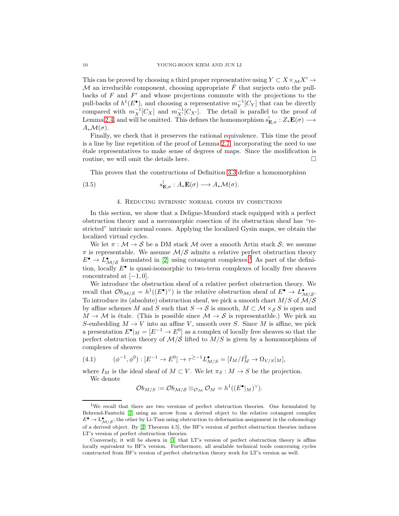This can be proved by choosing a third proper representative using  $Y \subset X \times_{\mathcal{M}} X' \to$ M an irreducible component, choosing appropriate  $\overline{F}$  that surjects onto the pullbacks of  $F$  and  $F'$  and whose projections commute with the projections to the pull-backs of  $h^1(E^{\bullet})$ , and choosing a representative  $m_Y^{-1}[C_Y]$  that can be directly compared with  $m_X^{-1}[C_X]$  and  $m_{X'}^{-1}[C_{X'}]$ . The detail is parallel to the proof of Lemma [2.4,](#page-3-2) and will be omitted. This defines the homomorphism  $s_{\mathbf{E},\sigma}^{\dagger}:Z_*\mathbf{E}(\sigma) \longrightarrow$  $A_*\mathcal{M}(\sigma)$ .

Finally, we check that it preserves the rational equivalence. This time the proof is a line by line repetition of the proof of Lemma [2.7,](#page-5-1) incorporating the need to use ´etale representatives to make sense of degrees of maps. Since the modification is routine, we will omit the details here.

This proves that the constructions of Definition [3.3](#page-8-0) define a homomorphism

(3.5) 
$$
s_{\mathbf{E},\sigma}^{\mathbf{I}} : A_* \mathbf{E}(\sigma) \longrightarrow A_* \mathcal{M}(\sigma).
$$

## 4. Reducing intrinsic normal cones by cosections

In this section, we show that a Deligne-Mumford stack equipped with a perfect obstruction theory and a meromorphic cosection of its obstruction sheaf has "restricted" intrinsic normal cones. Applying the localized Gysin maps, we obtain the localized virtual cycles.

We let  $\pi : \mathcal{M} \to \mathcal{S}$  be a DM stack M over a smooth Artin stack  $\mathcal{S}$ ; we assume  $\pi$  is representable. We assume  $\mathcal{M}/\mathcal{S}$  admits a relative perfect obstruction theory  $E^{\bullet} \to L^{\bullet}_{\mathcal{M}/\mathcal{S}}$  formulated in [\[2\]](#page-24-8) using cotangent complexes.<sup>[1](#page-9-0)</sup> As part of the definition, locally  $E^{\bullet}$  is quasi-isomorphic to two-term complexes of locally free sheaves concentrated at  $[-1, 0]$ .

We introduce the obstruction sheaf of a relative perfect obstruction theory. We recall that  $Ob_{\mathcal{M}/\mathcal{S}} = h^1((E^{\bullet})^{\vee})$  is the relative obstruction sheaf of  $E^{\bullet} \to L^{\bullet}_{\mathcal{M}/\mathcal{S}}$ . To introduce its (absolute) obstruction sheaf, we pick a smooth chart  $M/S$  of  $\mathcal{M}/\mathcal{S}$ by affine schemes M and S such that  $S \to S$  is smooth,  $M \subset M \times_S S$  is open and  $M \to \mathcal{M}$  is étale. (This is possible since  $\mathcal{M} \to \mathcal{S}$  is representatble.) We pick an S-embedding  $M \to V$  into an affine V, smooth over S. Since M is affine, we pick a presentation  $E^{\bullet}|_M = [E^{-1} \to E^0]$  as a complex of locally free sheaves so that the perfect obstruction theory of  $M/S$  lifted to  $M/S$  is given by a homomorphism of complexes of sheaves

<span id="page-9-1"></span>(4.1) 
$$
(\phi^{-1}, \phi^0) : [E^{-1} \to E^0] \to \tau^{\geq -1} L_{M/S}^{\bullet} = [I_M/I_M^2 \to \Omega_{V/S}|_M],
$$

where  $I_M$  is the ideal sheaf of  $M\subset V.$  We let  $\pi_S:M\rightarrow S$  be the projection. We denote

$$
\mathcal{O}b_{M/S}:=\mathcal{O}b_{\mathcal{M}/\mathcal{S}}\otimes_{\mathcal{O}_{\mathcal{M}}}\mathcal{O}_M=h^1((E^{\bullet}|_M)^{\vee}).
$$

<span id="page-9-0"></span><sup>&</sup>lt;sup>1</sup>We recall that there are two versions of perfect obstruction theories. One formulated by Behrend-Fantechi [\[2\]](#page-24-8) using an arrow from a derived object to the relative cotangent complex  $E^{\bullet} \to L^{\bullet}_{\mathcal{M}/\mathcal{S}}$ ; the other by Li-Tian using obstruction to deformation assignment in the cohomology of a derived object. By [\[2,](#page-24-8) Theorem 4.5], the BF's version of perfect obstruction theories induces LT's version of perfect obstruction theories.

Conversely, it will be shown in [\[3\]](#page-24-11) that LT's version of perfect obstruction theory is affine locally equivalent to BF's version. Furthermore, all available technical tools concerning cycles constructed from BF's version of perfect obstruction theory work for LT's version as well.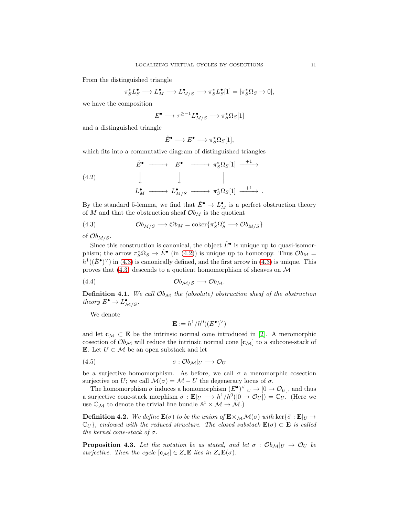From the distinguished triangle

$$
\pi_S^* L_S^{\bullet} \longrightarrow L_M^{\bullet} \longrightarrow L_{M/S}^{\bullet} \longrightarrow \pi_S^* L_S^{\bullet}[1] = [\pi_S^* \Omega_S \to 0],
$$

we have the composition

$$
E^{\bullet} \longrightarrow \tau^{\geq -1} L_{M/S}^{\bullet} \longrightarrow \pi_S^* \Omega_S[1]
$$

and a distinguished triangle

<span id="page-10-0"></span>
$$
\hat{E}^{\bullet} \longrightarrow E^{\bullet} \longrightarrow \pi_S^* \Omega_S[1],
$$

which fits into a commutative diagram of distinguished triangles

(4.2) 
$$
\hat{E}^{\bullet} \longrightarrow E^{\bullet} \longrightarrow \pi_{S}^{*}\Omega_{S}[1] \xrightarrow{+1} \longrightarrow
$$
  
\n $\downarrow \qquad \qquad \downarrow \qquad \qquad \parallel$   
\n $L_{M}^{\bullet} \longrightarrow L_{M/S}^{\bullet} \longrightarrow \pi_{S}^{*}\Omega_{S}[1] \xrightarrow{+1}.$ 

By the standard 5-lemma, we find that  $\hat{E}^{\bullet} \to L_M^{\bullet}$  is a perfect obstruction theory of M and that the obstruction sheaf  $\mathcal{O}_{M}$  is the quotient

<span id="page-10-1"></span>(4.3) 
$$
\mathcal{O}b_{M/S} \longrightarrow \mathcal{O}b_M = \text{coker}\{\pi_S^*\Omega_S^{\vee} \longrightarrow \mathcal{O}b_{M/S}\}
$$

of  $Ob_{M/S}$ .

Since this construction is canonical, the object  $\hat{E}^{\bullet}$  is unique up to quasi-isomorphism; the arrow  $\pi_S^*\Omega_S \to \hat{E}^{\bullet}$  (in [\(4.2\)](#page-10-0)) is unique up to homotopy. Thus  $\mathcal{O}b_M =$  $h^1((\hat{E}^{\bullet})^{\vee})$  in [\(4.3\)](#page-10-1) is canonically defined, and the first arrow in (4.3) is unique. This proves that  $(4.3)$  descends to a quotient homomorphism of sheaves on  $\mathcal M$ 

(4.4) Ob<sup>M</sup>/<sup>S</sup> −→ ObM.

**Definition 4.1.** We call  $Ob_{\mathcal{M}}$  the (absolute) obstruction sheaf of the obstruction *theory*  $E^{\bullet} \to L^{\bullet}_{\mathcal{M}/\mathcal{S}}$ *.* 

We denote

$$
\mathbf{E} := h^1/h^0((E^{\bullet})^{\vee})
$$

and let  $c_M \subset E$  be the intrinsic normal cone introduced in [\[2\]](#page-24-8). A meromorphic cosection of  $\mathcal{O}_{b_{\mathcal{M}}}$  will reduce the intrinsic normal cone  $[c_{\mathcal{M}}]$  to a subcone-stack of E. Let  $U \subset \mathcal{M}$  be an open substack and let

$$
\sigma: \mathcal{O}b_{\mathcal{M}}|_U \longrightarrow \mathcal{O}_U
$$

be a surjective homomorphism. As before, we call  $\sigma$  a meromorphic cosection surjective on U; we call  $\mathcal{M}(\sigma) = \mathcal{M} - U$  the degeneracy locus of  $\sigma$ .

The homomorphism  $\sigma$  induces a homomorphism  $(E^{\bullet})^{\vee}|_U \to [0 \to \mathcal{O}_U]$ , and thus a surjective cone-stack morphism  $\bar{\sigma}: \mathbf{E}|_U \longrightarrow h^1/h^0([0 \to \mathcal{O}_U]) = \mathbb{C}_U$ . (Here we use  $\mathbb{C}_{\mathcal{M}}$  to denote the trivial line bundle  $\mathbb{A}^1 \times \mathcal{M} \to \mathcal{M}$ .)

**Definition 4.2.** *We define*  $\mathbf{E}(\sigma)$  *to be the union of*  $\mathbf{E} \times_M \mathcal{M}(\sigma)$  *with* ker{ $\bar{\sigma} : \mathbf{E}|_U \rightarrow$  $\mathbb{C}_U$ *}, endowed with the reduced structure. The closed substack*  $\mathbf{E}(\sigma) \subset \mathbf{E}$  *is called the kernel cone-stack of*  $\sigma$ *.* 

<span id="page-10-2"></span>**Proposition 4.3.** Let the notation be as stated, and let  $\sigma : \mathcal{O}_{b_{\mathcal{M}}}|_{U} \to \mathcal{O}_{U}$  be *surjective.* Then the cycle  $[\mathbf{c}_{\mathcal{M}}] \in Z_*\mathbf{E}$  *lies in*  $Z_*\mathbf{E}(\sigma)$ *.*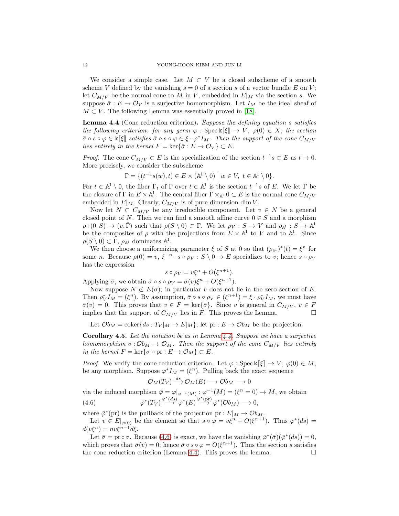We consider a simple case. Let  $M \subset V$  be a closed subscheme of a smooth scheme V defined by the vanishing  $s = 0$  of a section s of a vector bundle E on V; let  $C_{M/V}$  be the normal cone to M in V, embedded in  $E|_M$  via the section s. We suppose  $\bar{\sigma}: E \to \mathcal{O}_V$  is a surjective homomorphism. Let  $I_M$  be the ideal sheaf of  $M \subset V$ . The following Lemma was essentially proved in [\[18\]](#page-24-2).

<span id="page-11-0"></span>Lemma 4.4 (Cone reduction criterion). *Suppose the defining equation* s *satisfies the following criterion: for any germ*  $\varphi$ : Spec k[ $\xi$ ]  $\to V$ *,*  $\varphi(0) \in X$ *, the section*  $\bar{\sigma} \circ s \circ \varphi \in \mathbb{k}[\![\xi]\!]$  satisfies  $\bar{\sigma} \circ s \circ \varphi \in \xi \cdot \varphi^* I_M$ . Then the support of the cone  $C_{M/V}$ *lies entirely in the kernel*  $F = \ker{\bar{\sigma} : E \to \mathcal{O}_V} \subset E$ *.* 

*Proof.* The cone  $C_{M/V} \subset E$  is the specialization of the section  $t^{-1}s \subset E$  as  $t \to 0$ . More precisely, we consider the subscheme

$$
\Gamma = \{ (t^{-1}s(w), t) \in E \times (\mathbb{A}^1 \setminus 0) \mid w \in V, t \in \mathbb{A}^1 \setminus 0 \}.
$$

For  $t \in \mathbb{A}^1 \setminus 0$ , the fiber  $\Gamma_t$  of  $\Gamma$  over  $t \in \mathbb{A}^1$  is the section  $t^{-1}s$  of E. We let  $\overline{\Gamma}$  be the closure of  $\Gamma$  in  $E \times \mathbb{A}^1$ . The central fiber  $\overline{\Gamma} \times_{\mathbb{A}^1} 0 \subset E$  is the normal cone  $C_{M/V}$ embedded in  $E|_M$ . Clearly,  $C_{M/V}$  is of pure dimension dim V.

Now let  $N \subset C_{M/V}$  be any irreducible component. Let  $v \in N$  be a general closed point of N. Then we can find a smooth affine curve  $0 \in S$  and a morphism  $\rho: (0, S) \to (v, \overline{\Gamma})$  such that  $\rho(S \setminus 0) \subset \Gamma$ . We let  $\rho_V : S \to V$  and  $\rho_{\mathbb{A}^1} : S \to \mathbb{A}^1$ be the composites of  $\rho$  with the projections from  $E \times \mathbb{A}^1$  to V and to  $\mathbb{A}^1$ . Since  $\rho(S \setminus 0) \subset \Gamma$ ,  $\rho_{\mathbb{A}^1}$  dominates  $\mathbb{A}^1$ .

We then choose a uniformizing parameter  $\xi$  of S at 0 so that  $(\rho_{\mathbb{A}^1})^*(t) = \xi^n$  for some *n*. Because  $\rho(0) = v$ ,  $\xi^{-n} \cdot s \circ \rho_V : S \setminus 0 \to E$  specializes to *v*; hence  $s \circ \rho_V$ has the expression

$$
s \circ \rho_V = v\xi^n + O(\xi^{n+1}).
$$

Applying  $\bar{\sigma}$ , we obtain  $\bar{\sigma} \circ s \circ \rho_V = \bar{\sigma}(v)\xi^n + O(\xi^{n+1}).$ 

Now suppose  $N \not\subset E(\sigma)$ ; in particular v does not lie in the zero section of E. Then  $\rho_V^* I_M = (\xi^n)$ . By assumption,  $\bar{\sigma} \circ s \circ \rho_V \in (\xi^{n+1}) = \xi \cdot \rho_V^* I_M$ , we must have  $\bar{\sigma}(v) = 0$ . This proves that  $v \in F = \text{ker}\{\bar{\sigma}\}\$ . Since v is general in  $C_{M/V}$ ,  $v \in F$ implies that the support of  $C_{M/V}$  lies in F. This proves the Lemma.

Let  $\mathcal{O}b_M = \text{coker}\{ds : T_V |_M \to E|_M\};$  let  $pr : E \to \mathcal{O}b_M$  be the projection.

<span id="page-11-2"></span>Corollary 4.5. *Let the notation be as in Lemma [4.4.](#page-11-0) Suppose we have a surjective homomorphism*  $\sigma: \mathcal{O}_{M} \to \mathcal{O}_{M}$ *. Then the support of the cone*  $C_{M/V}$  *lies entirely in the kernel*  $F = \ker{\sigma \circ pr} : E \to \mathcal{O}_M$   $\subset E$ *.* 

*Proof.* We verify the cone reduction criterion. Let  $\varphi$  : Spec k[ $\xi$ ]  $\to V$ ,  $\varphi(0) \in M$ , be any morphism. Suppose  $\varphi^* I_M = (\xi^n)$ . Pulling back the exact sequence

<span id="page-11-1"></span>
$$
\mathcal{O}_M(T_V) \stackrel{ds}{\longrightarrow} \mathcal{O}_M(E) \longrightarrow \mathcal{O}b_M \longrightarrow 0
$$

via the induced morphism  $\bar{\varphi} = \varphi|_{\varphi^{-1}(M)} : \varphi^{-1}(M) = (\xi^n = 0) \to M$ , we obtain (4.6)  $\overline{\varphi}^*(T_V) \stackrel{\overline{\varphi}^*(ds)}{\longrightarrow} \overline{\varphi}^*(E) \stackrel{\overline{\varphi}^*(pr)}{\longrightarrow} \overline{\varphi}^*(Ob_M) \longrightarrow 0,$ 

where  $\bar{\varphi}^*(\text{pr})$  is the pullback of the projection  $\text{pr}: E|_M \to \mathcal{O}b_M$ .

Let  $v \in E|_{\varphi(0)}$  be the element so that  $s \circ \varphi = v\xi^{n} + O(\xi^{n+1})$ . Thus  $\bar{\varphi}^{*}(ds) =$  $d(v\xi^n) = nv\xi^{n-1}d\xi.$ 

Let  $\bar{\sigma} = \text{pr} \circ \sigma$ . Because [\(4.6\)](#page-11-1) is exact, we have the vanishing  $\bar{\varphi}^*(\bar{\sigma})(\bar{\varphi}^*(ds)) = 0$ , which proves that  $\bar{\sigma}(v) = 0$ ; hence  $\bar{\sigma} \circ s \circ \varphi = O(\xi^{n+1})$ . Thus the section s satisfies the cone reduction criterion (Lemma [4.4\)](#page-11-0). This proves the lemma.  $\square$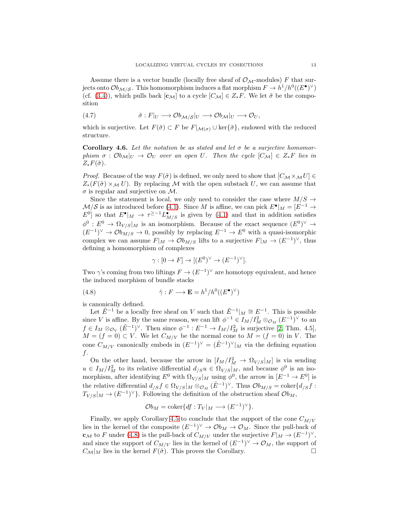Assume there is a vector bundle (locally free sheaf of  $\mathcal{O}_{\mathcal{M}}$ -modules) F that surjects onto  $\mathcal{O}b_{\mathcal{M}/\mathcal{S}}$ . This homomorphism induces a flat morphism  $F \to h^1/h^0((E^{\bullet})^{\vee})$ (cf. [\(3.4\)](#page-7-0)), which pulls back  $[c_{\mathcal{M}}]$  to a cycle  $[C_{\mathcal{M}}] \in Z_*F$ . We let  $\tilde{\sigma}$  be the composition

<span id="page-12-2"></span>(4.7) 
$$
\tilde{\sigma}: F|_U \longrightarrow \mathcal{O}b_{\mathcal{M}/\mathcal{S}}|_U \longrightarrow \mathcal{O}b_{\mathcal{M}}|_U \longrightarrow \mathcal{O}_U,
$$

which is surjective. Let  $F(\tilde{\sigma}) \subset F$  be  $F|_{\mathcal{M}(\sigma)} \cup \text{ker}\{\tilde{\sigma}\}\)$ , endowed with the reduced structure.

<span id="page-12-1"></span>Corollary 4.6. Let the notation be as stated and let  $\sigma$  be a surjective homomor*phism*  $\sigma$  :  $Ob_{\mathcal{M}}|_U \to O_U$  *over an open* U. Then the cycle  $[C_{\mathcal{M}}] \in Z_*F$  lies in  $Z_*F(\tilde{\sigma})$ .

*Proof.* Because of the way  $F(\tilde{\sigma})$  is defined, we only need to show that  $[C_{\mathcal{M}} \times_{\mathcal{M}} U] \in$  $Z_*(F(\tilde{\sigma}) \times_{\mathcal{M}} U)$ . By replacing M with the open substack U, we can assume that  $\sigma$  is regular and surjective on  $\mathcal{M}$ .

Since the statement is local, we only need to consider the case where  $M/S \rightarrow$  $\mathcal{M}/\mathcal{S}$  is as introduced before [\(4.1\)](#page-9-1). Since M is affine, we can pick  $E^{\bullet}|_M = [E^{-1} \rightarrow$  $E^0$  so that  $E^{\bullet}|_M \to \tau^{\geq -1} L^{\bullet}_{M/S}$  is given by [\(4.1\)](#page-9-1) and that in addition satisfies  $\phi^0: E^0 \to \Omega_{V/S}|_M$  is an isomorphism. Because of the exact sequence  $(E^0)^{\vee} \to$  $(E^{-1})^{\vee} \to \mathcal{O}b_{M/S} \to 0$ , possibly by replacing  $E^{-1} \to E^0$  with a quasi-isomorphic complex we can assume  $F|_M \to \mathcal{O}b_{M/S}$  lifts to a surjective  $F|_M \to (E^{-1})^{\vee}$ , thus defining a homomorphism of complexes

<span id="page-12-0"></span>
$$
\gamma : [0 \to F] \to [(E^0)^{\vee} \to (E^{-1})^{\vee}].
$$

Two  $\gamma$ 's coming from two liftings  $F \to (E^{-1})^{\vee}$  are homotopy equivalent, and hence the induced morphism of bundle stacks

(4.8) 
$$
\tilde{\gamma}: F \longrightarrow \mathbf{E} = h^1/h^0((E^{\bullet})^{\vee})
$$

is canonically defined.

Let  $\tilde{E}^{-1}$  be a locally free sheaf on V such that  $\tilde{E}^{-1}|_M \cong E^{-1}$ . This is possible since V is affine. By the same reason, we can lift  $\phi^{-1} \in I_M/I_M^2 \otimes_{\mathcal{O}_M} (E^{-1})^{\vee}$  to an  $f \in I_M \otimes_{\mathcal{O}_V} (\tilde{E}^{-1})^{\vee}$ . Then since  $\phi^{-1} : E^{-1} \to I_M/I_M^2$  is surjective [\[2,](#page-24-8) Thm. 4.5],  $M = (f = 0) \subset V$ . We let  $C_{M/V}$  be the normal cone to  $M = (f = 0)$  in V. The cone  $C_{M/V}$  canonically embeds in  $(E^{-1})^{\vee} = (\tilde{E}^{-1})^{\vee}|_M$  via the defining equation f.

On the other hand, because the arrow in  $[I_M/I_M^2 \to \Omega_{V/S}|_M]$  is via sending  $u \in I_M/I_M^2$  to its relative differential  $d_{/S}u \in \Omega_{V/S}|_M$ , and because  $\phi^0$  is an isomorphism, after identifying  $E^0$  with  $\Omega_{V/S}|_M$  using  $\phi^0$ , the arrow in  $[E^{-1} \to E^0]$  is the relative differential  $d_{/S} f \in \Omega_{V/S}|_M \otimes_{\mathcal{O}_M} (\tilde{E}^{-1})^{\vee}$ . Thus  $\mathcal{O}b_{M/S} = \text{coker}\{d_{/S} f :$  $T_{V/S}|_M \to (E^{-1})^{\vee}$ . Following the definition of the obstruction sheaf  $\mathcal{O}_{M}$ ,

$$
\mathcal{O}b_M = \text{coker}\{df : T_V|_M \longrightarrow (E^{-1})^{\vee}\}.
$$

Finally, we apply Corollary [4.5](#page-11-2) to conclude that the support of the cone  $C_{M/V}$ lies in the kernel of the composite  $(E^{-1})^{\vee} \to \mathcal{O}b_M \to \mathcal{O}_M$ . Since the pull-back of  $\mathbf{c}_{\mathcal{M}}$  to F under [\(4.8\)](#page-12-0) is the pull-back of  $C_{M/V}$  under the surjective  $F|_M \to (E^{-1})^{\vee}$ , and since the support of  $C_{M/V}$  lies in the kernel of  $(E^{-1})^{\vee} \to \mathcal{O}_M$ , the support of  $C_{\mathcal{M}}|_M$  lies in the kernel  $F(\tilde{\sigma})$ . This proves the Corollary.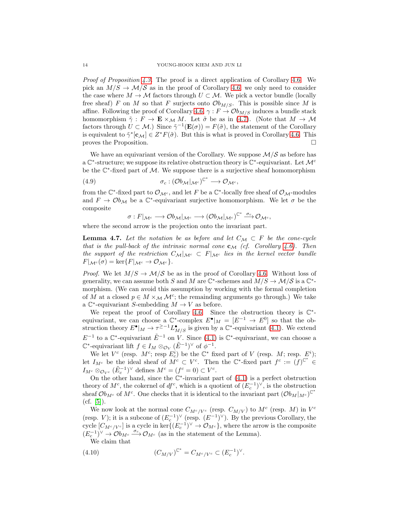*Proof of Proposition [4.3.](#page-10-2)* The proof is a direct application of Corollary [4.6.](#page-12-1) We pick an  $M/S \to \mathcal{M}/\mathcal{S}$  as in the proof of Corollary [4.6;](#page-12-1) we only need to consider the case where  $M \to \mathcal{M}$  factors through  $U \subset \mathcal{M}$ . We pick a vector bundle (locally free sheaf) F on M so that F surjects onto  $\mathcal{O}_{M/S}$ . This is possible since M is affine. Following the proof of Corollary [4.6,](#page-12-1)  $\gamma : F \to \mathcal{O}b_{M/S}$  induces a bundle stack homomorphism  $\tilde{\gamma}: F \to \mathbf{E} \times_M M$ . Let  $\tilde{\sigma}$  be as in [\(4.7\)](#page-12-2). (Note that  $M \to M$ factors through  $U \subset \mathcal{M}$ .) Since  $\tilde{\gamma}^{-1}(\mathbf{E}(\sigma)) = F(\tilde{\sigma})$ , the statement of the Corollary is equivalent to  $\tilde{\gamma}^*[\mathbf{c}_M] \in Z^*F(\tilde{\sigma})$ . But this is what is proved in Corollary [4.6.](#page-12-1) This proves the Proposition.

We have an equivariant version of the Corollary. We suppose  $\mathcal{M}/\mathcal{S}$  as before has a  $\mathbb{C}^*$ -structure; we suppose its relative obstruction theory is  $\mathbb{C}^*$ -equivariant. Let  $\mathcal{M}^c$ be the  $\mathbb{C}^*$ -fixed part of M. We suppose there is a surjective sheaf homomorphism

(4.9) 
$$
\sigma_c: (\mathcal{O}b_{\mathcal{M}}|_{\mathcal{M}^c})^{\mathbb{C}^*} \longrightarrow \mathcal{O}_{\mathcal{M}^c},
$$

from the  $\mathbb{C}^*$ -fixed part to  $\mathcal{O}_{\mathcal{M}^c}$ , and let F be a  $\mathbb{C}^*$ -locally free sheaf of  $\mathcal{O}_{\mathcal{M}}$ -modules and  $F \to \mathcal{O}b_{\mathcal{M}}$  be a  $\mathbb{C}^*$ -equivariant surjective homomorphism. We let  $\sigma$  be the composite

$$
\sigma: F|_{\mathcal{M}^c}\longrightarrow \mathcal{O}b_{\mathcal{M}}|_{\mathcal{M}^c}\longrightarrow (\mathcal{O}b_{\mathcal{M}}|_{\mathcal{M}^c})^{\mathbb{C}^*}\stackrel{\sigma_c}{\longrightarrow} \mathcal{O}_{\mathcal{M}^c},
$$

where the second arrow is the projection onto the invariant part.

**Lemma 4.7.** Let the notation be as before and let  $C_M \subset F$  be the cone-cycle *that is the pull-back of the intrinsic normal cone*  $c_M$  *(cf. Corollary [4.6\)](#page-12-1). Then the support of the restriction*  $C_M|_{\mathcal{M}^c} \subset F|_{\mathcal{M}^c}$  *lies in the kernel vector bundle*  $F|_{\mathcal{M}^c}(\sigma) = \ker\{F|_{\mathcal{M}^c} \to \mathcal{O}_{\mathcal{M}^c}\}.$ 

*Proof.* We let  $M/S \to M/S$  be as in the proof of Corollary [4.6.](#page-12-1) Without loss of generality, we can assume both S and M are  $\mathbb{C}^*$ -schemes and  $M/S \to \mathcal{M}/S$  is a  $\mathbb{C}^*$ morphism. (We can avoid this assumption by working with the formal completion of M at a closed  $p \in M \times_M \mathcal{M}^c$ ; the remainding arguments go through.) We take a  $\mathbb{C}^*$ -equivariant *S*-embedding  $M \to V$  as before.

We repeat the proof of Corollary [4.6.](#page-12-1) Since the obstruction theory is  $\mathbb{C}^*$ equivariant, we can choose a  $\mathbb{C}^*$ -complex  $E^{\bullet}|_M = [E^{-1} \to E^0]$  so that the obstruction theory  $E^{\bullet}|_M \to \tau^{\geq -1} L^{\bullet}_{M/S}$  is given by a  $\mathbb{C}^*$ -equivariant [\(4.1\)](#page-9-1). We extend  $E^{-1}$  to a  $\mathbb{C}^*$ -equivariant  $\tilde{E}^{-1}$  on V. Since [\(4.1\)](#page-9-1) is  $\mathbb{C}^*$ -equivariant, we can choose a  $\mathbb{C}^*$ -equivariant lift  $f \in I_M \otimes_{\mathcal{O}_V} (\tilde{E}^{-1})^{\vee}$  of  $\phi^{-1}$ .

We let  $V^c$  (resp.  $M^c$ ; resp  $E_c^i$ ) be the  $\mathbb{C}^*$  fixed part of V (resp.  $M$ ; resp.  $E^i$ ); let  $I_{M^c}$  be the ideal sheaf of  $M^c \subset V^c$ . Then the  $\mathbb{C}^*$ -fixed part  $f^c := (f)^{\mathbb{C}^*} \in$  $I_{M^c} \otimes_{\mathcal{O}_{V^c}} (\tilde{E}_c^{-1})^{\vee}$  defines  $M^c = (f^c = 0) \subset V^c$ .

On the other hand, since the  $\mathbb{C}^*$ -invariant part of  $(4.1)$  is a perfect obstruction theory of  $M^c$ , the cokernel of  $df^c$ , which is a quotient of  $(E_c^{-1})^{\vee}$ , is the obstruction sheaf  $\mathcal{O}b_{M^c}$  of  $M^c$ . One checks that it is identical to the invariant part  $(\mathcal{O}b_M|_{M^c})^{\mathbb{C}^*}$  $(cf. [5])$  $(cf. [5])$  $(cf. [5])$ .

We now look at the normal cone  $C_{M^c/V^c}$  (resp.  $C_{M/V}$ ) to  $M^c$  (resp. M) in  $V^c$ (resp. V); it is a subcone of  $(E_c^{-1})^{\vee}$  (resp.  $(E^{-1})^{\vee}$ ). By the previous Corollary, the cycle  $[C_{M^c/V^c}]$  is a cycle in ker $\{(E_c^{-1})^{\vee} \to \mathcal{O}_{M^c}\}$ , where the arrow is the composite  $(E_c^{-1})^{\vee} \to \mathcal{O}b_{M^c} \xrightarrow{\sigma_c} \mathcal{O}_{M^c}$  (as in the statement of the Lemma).

We claim that

(4.10) 
$$
(C_{M/V})^{\mathbb{C}^*} = C_{M^c/V^c} \subset (E_c^{-1})^{\vee}.
$$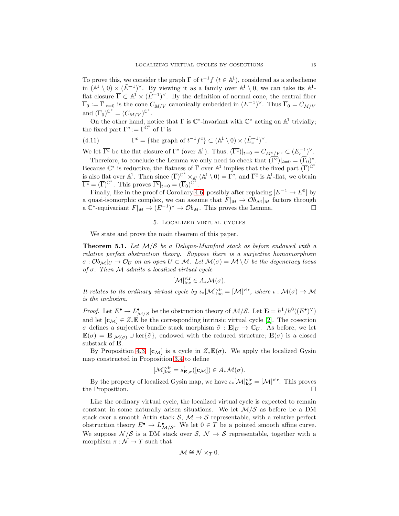To prove this, we consider the graph  $\Gamma$  of  $t^{-1}f$   $(t \in \mathbb{A}^1)$ , considered as a subscheme in  $(\mathbb{A}^1 \setminus 0) \times (\tilde{E}^{-1})^{\vee}$ . By viewing it as a family over  $\mathbb{A}^1 \setminus 0$ , we can take its  $\mathbb{A}^1$ flat closure  $\overline{\Gamma} \subset \mathbb{A}^1 \times (\tilde{E}^{-1})^{\vee}$ . By the definition of normal cone, the central fiber  $\overline{\Gamma}_0 := \overline{\Gamma}|_{t=0}$  is the cone  $C_{M/V}$  canonically embedded in  $(E^{-1})^{\vee}$ . Thus  $\overline{\Gamma}_0 = C_{M/V}$ and  $(\overline{\Gamma}_0)^{\mathbb{C}^*} = (C_{M/V})^{\mathbb{C}^*}.$ 

On the other hand, notice that  $\Gamma$  is  $\mathbb{C}^*$ -invariant with  $\mathbb{C}^*$  acting on  $\mathbb{A}^1$  trivially; the fixed part  $\Gamma^c := \Gamma^{\mathbb{C}^*}$  of  $\Gamma$  is

(4.11) 
$$
\Gamma^c = \{ \text{the graph of } t^{-1} f^c \} \subset (\mathbb{A}^1 \setminus 0) \times (\tilde{E}_c^{-1})^{\vee}.
$$

We let  $\overline{\Gamma^c}$  be the flat closure of  $\Gamma^c$  (over  $\mathbb{A}^1$ ). Thus,  $(\overline{\Gamma^c})|_{t=0} = C_{M^c/V^c} \subset (E_c^{-1})^{\vee}$ .

Therefore, to conclude the Lemma we only need to check that  $(\overline{\Gamma^c})|_{t=0} = (\overline{\Gamma}_0)^c$ . Because  $\mathbb{C}^*$  is reductive, the flatness of  $\overline{\Gamma}$  over  $\mathbb{A}^1$  implies that the fixed part  $(\overline{\Gamma})^{\mathbb{C}^*}$ is also flat over  $\mathbb{A}^1$ . Then since  $(\overline{\Gamma})^{\mathbb{C}^*} \times_{\mathbb{A}^1} (\mathbb{A}^1 \setminus 0) = \Gamma^c$ , and  $\overline{\Gamma^c}$  is  $\mathbb{A}^1$ -flat, we obtain  $\overline{\Gamma^c} = (\overline{\Gamma})^{\mathbb{C}^*}$ . This proves  $\overline{\Gamma^c}|_{t=0} = (\overline{\Gamma}_0)^{\mathbb{C}^*}$ .  $\overline{\Gamma^c} = (\overline{\Gamma})^{\mathbb{C}^*}$ . This proves  $\overline{\Gamma^c}|_{t=0} = (\overline{\Gamma}_0)^{\mathbb{C}}$ 

Finally, like in the proof of Corollary [4.6,](#page-12-1) possibly after replacing  $[E^{-1} \to E^0]$  by a quasi-isomorphic complex, we can assume that  $F|_M \to \mathcal{O}b_{\mathcal{M}}|_M$  factors through a  $\mathbb{C}^*$ -equivariant  $F|_M \to (E^{-1})^{\vee} \to \mathcal{O}b_M$ . This proves the Lemma.

# 5. Localized virtual cycles

We state and prove the main theorem of this paper.

<span id="page-14-0"></span>Theorem 5.1. *Let* M/S *be a Deligne-Mumford stack as before endowed with a relative perfect obstruction theory. Suppose there is a surjective homomorphism*  $\sigma : \mathcal{O}_{M}|_{U} \to \mathcal{O}_{U}$  *on an open*  $U \subset \mathcal{M}$ . Let  $\mathcal{M}(\sigma) = \mathcal{M} \setminus U$  be the degeneracy locus *of* σ*. Then* M *admits a localized virtual cycle*

$$
[\mathcal{M}]_{\text{loc}}^{\text{vir}} \in A_* \mathcal{M}(\sigma).
$$

*It relates to its ordinary virtual cycle by*  $\iota_*[\mathcal{M}]_{loc}^{vir} = [\mathcal{M}]^{vir}$ , where  $\iota : \mathcal{M}(\sigma) \to \mathcal{M}$ *is the inclusion.*

*Proof.* Let  $E^{\bullet} \to L^{\bullet}_{\mathcal{M}/\mathcal{S}}$  be the obstruction theory of  $\mathcal{M}/\mathcal{S}$ . Let  $\mathbf{E} = h^1/h^0((E^{\bullet})^{\vee})$ and let  $[c_M] \in Z_*\mathbf{E}$  be the corresponding intrinsic virtual cycle [\[2\]](#page-24-8). The cosection σ defines a surjective bundle stack morphism  $\tilde{\sigma}$ : **E**|<sub>U</sub>  $\to \mathbb{C}_U$ . As before, we let  $\mathbf{E}(\sigma) = \mathbf{E} |_{\mathcal{M}(\sigma)} \cup \text{ker}\{\tilde{\sigma}\},$  endowed with the reduced structure;  $\mathbf{E}(\sigma)$  is a closed substack of E.

By Proposition [4.3,](#page-10-2)  $[c_{\mathcal{M}}]$  is a cycle in  $Z_*\mathbf{E}(\sigma)$ . We apply the localized Gysin map constructed in Proposition [3.4](#page-8-1) to define

$$
[\mathcal{M}]_{\text{loc}}^{\text{vir}} = s_{\mathbf{E},\sigma}^{\text{!}}([\mathbf{c}_{\mathcal{M}}]) \in A_* \mathcal{M}(\sigma).
$$

By the property of localized Gysin map, we have  $\iota_*[{\mathcal M}]_{{\rm loc}}^{\rm vir}=[{\mathcal M}]^{\rm vir}$ . This proves the Proposition.

Like the ordinary virtual cycle, the localized virtual cycle is expected to remain constant in some naturally arisen situations. We let  $\mathcal{M}/\mathcal{S}$  as before be a DM stack over a smooth Artin stack  $S, M \rightarrow S$  representable, with a relative perfect obstruction theory  $E^{\bullet} \to L^{\bullet}_{\mathcal{M}/\mathcal{S}}$ . We let  $0 \in T$  be a pointed smooth affine curve. We suppose  $\mathcal{N}/\mathcal{S}$  is a DM stack over  $\mathcal{S}, \mathcal{N} \to \mathcal{S}$  representable, together with a morphism  $\pi : \mathcal{N} \to T$  such that

$$
\mathcal{M} \cong \mathcal{N} \times_T 0.
$$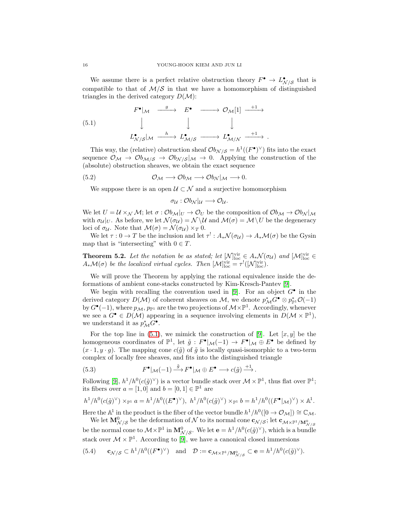We assume there is a perfect relative obstruction theory  $F^{\bullet} \to L^{\bullet}_{N/S}$  that is compatible to that of  $M/S$  in that we have a homomorphism of distinguished triangles in the derived category  $D(\mathcal{M})$ :

<span id="page-15-0"></span>(5.1) 
$$
F^{\bullet} |_{\mathcal{M}} \xrightarrow{\qquad g} E^{\bullet} \longrightarrow \mathcal{O}_{\mathcal{M}}[1] \xrightarrow{+1} \longrightarrow
$$

$$
\downarrow \qquad \qquad \downarrow \qquad \qquad \downarrow
$$

$$
L^{\bullet}_{\mathcal{N}/\mathcal{S}} |_{\mathcal{M}} \xrightarrow{h} L^{\bullet}_{\mathcal{M}/\mathcal{S}} \xrightarrow{h} L^{\bullet}_{\mathcal{M}/\mathcal{N}} \xrightarrow{+1} .
$$

This way, the (relative) obstruction sheaf  $\mathcal{O}_{\mathcal{N}/\mathcal{S}} = h^1((F^{\bullet})^{\vee})$  fits into the exact sequence  $\mathcal{O}_\mathcal{M} \to \mathcal{O}_{\mathcal{M}/\mathcal{S}} \to \mathcal{O}_{\mathcal{N}/\mathcal{S}}|_{\mathcal{M}} \to 0$ . Applying the construction of the (absolute) obstruction sheaves, we obtain the exact sequence

$$
(5.2) \t\t \t\t \mathcal{O}_{\mathcal{M}} \longrightarrow \mathcal{O}_{\mathcal{M}} \longrightarrow \mathcal{O}_{\mathcal{N}}|_{\mathcal{M}} \longrightarrow 0.
$$

We suppose there is an open  $\mathcal{U} \subset \mathcal{N}$  and a surjective homomorphism

$$
\sigma_{\mathcal{U}}: \mathcal{O}b_{\mathcal{N}}|_{\mathcal{U}} \longrightarrow \mathcal{O}_{\mathcal{U}}.
$$

We let  $U = \mathcal{U} \times_{\mathcal{N}} \mathcal{M}$ ; let  $\sigma : \mathcal{O}_{\mathcal{U}}|_U \to \mathcal{O}_U$  be the composition of  $\mathcal{O}_{\mathcal{U}} \to \mathcal{O}_{\mathcal{U}}|_{\mathcal{M}}$ with  $\sigma_{\mathcal{U}}|_U$ . As before, we let  $\mathcal{N}(\sigma_{\mathcal{U}}) = \mathcal{N} \setminus \mathcal{U}$  and  $\mathcal{M}(\sigma) = \mathcal{M} \setminus U$  be the degeneracy loci of  $\sigma_{\mathcal{U}}$ . Note that  $\mathcal{M}(\sigma) = \mathcal{N}(\sigma_{\mathcal{U}}) \times_T 0$ .

We let  $\tau: 0 \to T$  be the inclusion and let  $\tau': A_*\mathcal{N}(\sigma_{\mathcal{U}}) \to A_*\mathcal{M}(\sigma)$  be the Gysin map that is "intersecting" with  $0 \in T$ .

<span id="page-15-2"></span>**Theorem 5.2.** Let the notation be as stated; let  $[N]_{\text{loc}}^{\text{vir}} \in A_*\mathcal{N}(\sigma_{\mathcal{U}})$  and  $[M]_{\text{loc}}^{\text{vir}} \in$  $A_*\mathcal{M}(\sigma)$  *be the localized virtual cycles. Then*  $[\mathcal{M}]_{\text{loc}}^{\text{vir}} = \tau^!([\mathcal{N}]_{\text{loc}}^{\text{vir}})$ .

We will prove the Theorem by applying the rational equivalence inside the deformations of ambient cone-stacks constructed by Kim-Kresch-Pantev [\[9\]](#page-24-13).

We begin with recalling the convention used in [\[9\]](#page-24-13). For an object  $G^{\bullet}$  in the derived category  $D(\mathcal{M})$  of coherent sheaves on  $\mathcal{M}$ , we denote  $p^*_{\mathcal{M}}G^{\bullet} \otimes p^*_{\mathbb{P}^1}\mathcal{O}(-1)$ by  $G^{\bullet}(-1)$ , where  $p_{\mathcal{M}}, p_{\mathbb{P}^1}$  are the two projections of  $\mathcal{M}\times\mathbb{P}^1$ . Accordingly, whenever we see a  $G^{\bullet} \in D(\mathcal{M})$  appearing in a sequence involving elements in  $D(\mathcal{M} \times \mathbb{P}^1)$ , we understand it as  $p_{\mathcal{M}}^* G^{\bullet}$ .

For the top line in [\(5.1\)](#page-15-0), we mimick the construction of [\[9\]](#page-24-13). Let  $[x, y]$  be the homogeneous coordinates of  $\mathbb{P}^1$ , let  $\tilde{g}: F^{\bullet}|_{\mathcal{M}}(-1) \to F^{\bullet}|_{\mathcal{M}} \oplus E^{\bullet}$  be defined by  $(x \cdot 1, y \cdot q)$ . The mapping cone  $c(\tilde{q})$  of  $\tilde{q}$  is locally quasi-isomorphic to a two-term complex of locally free sheaves, and fits into the distinguished triangle

<span id="page-15-1"></span>(5.3) 
$$
F^{\bullet}|\mathcal{M}(-1) \stackrel{\tilde{g}}{\longrightarrow} F^{\bullet}|\mathcal{M} \oplus E^{\bullet} \longrightarrow c(\tilde{g}) \stackrel{+1}{\longrightarrow}.
$$

Following [\[9\]](#page-24-13),  $h^1/h^0(c(\tilde{g})^{\vee})$  is a vector bundle stack over  $\mathcal{M} \times \mathbb{P}^1$ , thus flat over  $\mathbb{P}^1$ ; its fibers over  $a = [1, 0]$  and  $b = [0, 1] \in \mathbb{P}^1$  are

$$
h^1/h^0(c(\tilde{g})^{\vee}) \times_{\mathbb{P}^1} a = h^1/h^0((E^{\bullet})^{\vee}), \ h^1/h^0(c(\tilde{g})^{\vee}) \times_{\mathbb{P}^1} b = h^1/h^0((F^{\bullet}|\mathcal{M})^{\vee}) \times \mathbb{A}^1.
$$

Here the  $\mathbb{A}^1$  in the product is the fiber of the vector bundle  $h^1/h^0([0 \to \mathcal{O}_\mathcal{M}]) \cong \mathbb{C}_\mathcal{M}$ .

We let  $\mathbf{M}_{\mathcal{N}/\mathcal{S}}^{0}$  be the deformation of  $\mathcal N$  to its normal cone  $\mathbf{c}_{\mathcal{N}/\mathcal{S}}$ ; let  $\mathbf{c}_{\mathcal{M}\times\mathbb{P}^{1}/\mathbf{M}_{\mathcal{N}/\mathcal{S}}^{0}}$ be the normal cone to  $\mathcal{M}\times\mathbb{P}^1$  in  $\mathbf{M}_{\mathcal{N}/\mathcal{S}}^0$ . We let  $\mathbf{e}=h^1/h^0(c(\tilde{g})^{\vee})$ , which is a bundle stack over  $\mathcal{M} \times \mathbb{P}^1$ . According to [\[9\]](#page-24-13), we have a canonical closed immersions

(5.4) 
$$
\mathbf{c}_{\mathcal{N}/\mathcal{S}} \subset h^1/h^0((F^{\bullet})^{\vee}) \quad \text{and} \quad \mathcal{D} := \mathbf{c}_{\mathcal{M} \times \mathbb{P}^1/\mathbf{M}_{\mathcal{N}/\mathcal{S}}^0} \subset \mathbf{e} = h^1/h^0(c(\tilde{g})^{\vee}).
$$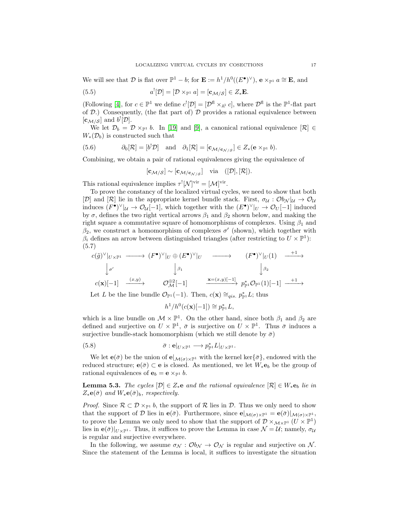We will see that  $\mathcal D$  is flat over  $\mathbb P^1 - b$ ; for  $\mathbf E := h^1/h^0((E^{\bullet})^{\vee})$ ,  $\mathbf e \times_{\mathbb P^1} a \cong \mathbf E$ , and

<span id="page-16-2"></span>(5.5) 
$$
a^![\mathcal{D}] = [\mathcal{D} \times_{\mathbb{P}^1} a] = [\mathbf{c}_{\mathcal{M}/\mathcal{S}}] \in Z_*\mathbf{E}.
$$

(Following [\[4\]](#page-24-7), for  $c \in \mathbb{P}^1$  we define  $c^![\mathcal{D}] = [\mathcal{D}^{\text{fl}} \times_{\mathbb{A}^1} c]$ , where  $\mathcal{D}^{\text{fl}}$  is the  $\mathbb{P}^1$ -flat part of  $(D)$ .) Consequently, (the flat part of)  $D$  provides a rational equivalence between  $[\mathbf{c}_{\mathcal{M}/\mathcal{S}}]$  and  $b^![\mathcal{D}].$ 

We let  $\mathcal{D}_b = \mathcal{D} \times_{\mathbb{P}^1} b$ . In [\[19\]](#page-24-14) and [\[9\]](#page-24-13), a canonical rational equivalence  $[\mathcal{R}] \in$  $W_*(\mathcal{D}_b)$  is constructed such that

(5.6) 
$$
\partial_0[\mathcal{R}] = [b^!\mathcal{D}] \text{ and } \partial_1[\mathcal{R}] = [\mathbf{c}_{\mathcal{M}/\mathbf{c}_{\mathcal{N}/\mathcal{S}}}] \in Z_*(\mathbf{e} \times_{\mathbb{P}^1} b).
$$

Combining, we obtain a pair of rational equivalences giving the equivalence of

$$
[\mathbf{c}_{\mathcal{M}/\mathcal{S}}] \sim [\mathbf{c}_{\mathcal{M}/\mathbf{c}_{\mathcal{N}/\mathcal{S}}}]
$$
 via  $([\mathcal{D}], [\mathcal{R}]).$ 

This rational equivalence implies  $\tau^![\mathcal{N}]^{vir} = [\mathcal{M}]^{vir}$ .

To prove the constancy of the localized virtual cycles, we need to show that both [D] and [R] lie in the appropriate kernel bundle stack. First,  $\sigma_{\mathcal{U}} : \mathcal{O}_{\mathcal{U}}|_{\mathcal{U}} \to \mathcal{O}_{\mathcal{U}}$ induces  $(F^{\bullet})^{\vee}|_{\mathcal{U}} \to \mathcal{O}_{\mathcal{U}}[-1]$ , which together with the  $(E^{\bullet})^{\vee}|_{U} \to \mathcal{O}_{U}[-1]$  induced by  $\sigma$ , defines the two right vertical arrows  $\beta_1$  and  $\beta_2$  shown below, and making the right square a commutative square of homomorphisms of complexes. Using  $\beta_1$  and  $\beta_2$ , we construct a homomorphism of complexes  $\sigma'$  (shown), which together with  $\beta_i$  defines an arrow between distinguished triangles (after restricting to  $U \times \mathbb{P}^1$ ): (5.7)

<span id="page-16-1"></span>
$$
c(\tilde{g})^{\vee}|_{U\times\mathbb{P}^1} \longrightarrow (F^{\bullet})^{\vee}|_{U} \oplus (E^{\bullet})^{\vee}|_{U} \longrightarrow (F^{\bullet})^{\vee}|_{U}(1) \longrightarrow^{+1} \longrightarrow
$$
  
\n
$$
\downarrow \sigma' \qquad \qquad \downarrow \beta_1 \qquad \qquad \downarrow \beta_2
$$
  
\n
$$
c(\mathbf{x})[-1] \xrightarrow{(x,y)} \qquad \mathcal{O}_{\mathcal{M}}^{\oplus 2}[-1] \qquad \xrightarrow{\mathbf{x}=(x,y)[-1]} p_{\mathbb{P}^1}^* \mathcal{O}_{\mathbb{P}^1}(1)[-1] \longrightarrow^{+1} \longrightarrow
$$

Let L be the line bundle  $\mathcal{O}_{\mathbb{P}^1}(-1)$ . Then,  $c(\mathbf{x}) \cong_{qis.} p_{\mathbb{P}^1}^* L$ ; thus

<span id="page-16-0"></span>
$$
h^1/h^0(c(\mathbf{x})[-1]) \cong p_{\mathbb{P}^1}^*L,
$$

which is a line bundle on  $\mathcal{M} \times \mathbb{P}^1$ . On the other hand, since both  $\beta_1$  and  $\beta_2$  are defined and surjective on  $U \times \mathbb{P}^1$ ,  $\bar{\sigma}$  is surjective on  $U \times \mathbb{P}^1$ . Thus  $\bar{\sigma}$  induces a surjective bundle-stack homomorphism (which we still denote by  $\bar{\sigma}$ )

(5.8) 
$$
\bar{\sigma} : \mathbf{e}|_{U \times \mathbb{P}^1} \longrightarrow p_{\mathbb{P}^1}^* L|_{U \times \mathbb{P}^1}.
$$

We let  $\mathbf{e}(\bar{\sigma})$  be the union of  $\mathbf{e}|_{\mathcal{M}(\sigma)\times\mathbb{P}^1}$  with the kernel ker $\{\bar{\sigma}\}\$ , endowed with the reduced structure;  $e(\bar{\sigma}) \subset e$  is closed. As mentioned, we let  $W_*e_b$  be the group of rational equivalences of  $\mathbf{e}_b = \mathbf{e} \times_{\mathbb{P}^1} b$ .

**Lemma 5.3.** *The cycles*  $[\mathcal{D}] \in Z_*$ **e** and the rational equivalence  $[\mathcal{R}] \in W_*$ **e**<sub>b</sub> lie in  $Z_*\mathbf{e}(\bar{\sigma})$  *and*  $W_*\mathbf{e}(\bar{\sigma})_b$ *, respectively.* 

*Proof.* Since  $\mathcal{R} \subset \mathcal{D} \times_{\mathbb{P}^1} b$ , the support of  $\mathcal{R}$  lies in  $\mathcal{D}$ . Thus we only need to show that the support of D lies in  $e(\bar{\sigma})$ . Furthermore, since  $e|_{\mathcal{M}(\sigma)\times\mathbb{P}^1} = e(\bar{\sigma})|_{\mathcal{M}(\sigma)\times\mathbb{P}^1}$ , to prove the Lemma we only need to show that the support of  $\mathcal{D} \times_{\mathcal{M} \times \mathbb{P}^1} (U \times \mathbb{P}^1)$ lies in  $\mathbf{e}(\bar{\sigma})|_{U\times\mathbb{P}^1}$ . Thus, it suffices to prove the Lemma in case  $\mathcal{N} = \mathcal{U}$ ; namely,  $\sigma_{\mathcal{U}}$ is regular and surjective everywhere.

In the following, we assume  $\sigma_{\mathcal{N}} : \mathcal{O}_{\mathcal{N}} \to \mathcal{O}_{\mathcal{N}}$  is regular and surjective on N. Since the statement of the Lemma is local, it suffices to investigate the situation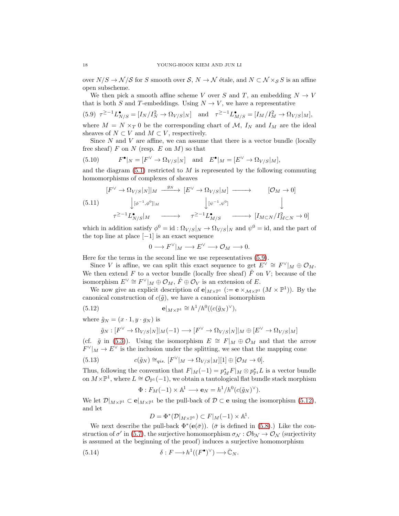over  $N/S \to \mathcal{N}/\mathcal{S}$  for S smooth over S,  $N \to \mathcal{N}$  étale, and  $N \subset \mathcal{N} \times_{\mathcal{S}} S$  is an affine open subscheme.

We then pick a smooth affine scheme V over S and T, an embedding  $N \to V$ that is both S and T-embeddings. Using  $N \to V$ , we have a representative

<span id="page-17-0"></span>
$$
(5.9) \ \ \tau^{\geq -1} L_{N/S}^{\bullet} = [I_N/I_N^2 \to \Omega_{V/S}|_N] \quad \text{and} \quad \tau^{\geq -1} L_{M/S}^{\bullet} = [I_M/I_M^2 \to \Omega_{V/S}|_M],
$$

where  $M = N \times_T 0$  be the corresponding chart of M,  $I_N$  and  $I_M$  are the ideal sheaves of  $N \subset V$  and  $M \subset V$ , respectively.

Since  $N$  and  $V$  are affine, we can assume that there is a vector bundle (locally free sheaf) F on N (resp. E on M) so that

<span id="page-17-2"></span>(5.10) 
$$
F^{\bullet}|_{N} = [F^{\vee} \to \Omega_{V/S}|_{N}] \text{ and } E^{\bullet}|_{M} = [E^{\vee} \to \Omega_{V/S}|_{M}],
$$

and the diagram  $(5.1)$  restricted to M is represented by the following commuting homomorphisms of complexes of sheaves

$$
\begin{array}{ccc}\n[F^{\vee} \to \Omega_{V/S}|_N]|_M & \xrightarrow{g_N} & [E^{\vee} \to \Omega_{V/S}|_M] & \longrightarrow & [\mathcal{O}_M \to 0] \\
& \downarrow^{[\phi^{-1}, \phi^0]|_M} & \downarrow^{[\psi^{-1}, \psi^0]} & \downarrow \\
& \tau^{\geq -1} L^{\bullet}_{N/S}|_M & \longrightarrow & \tau^{\geq -1} L^{\bullet}_{M/S} & \longrightarrow & [I_{M\subset N}/I^2_{M\subset N} \to 0]\n\end{array}
$$

which in addition satisfy  $\phi^0 = id : \Omega_{V/S}|_N \to \Omega_{V/S}|_N$  and  $\psi^0 = id$ , and the part of the top line at place  $[-1]$  is an exact sequence

<span id="page-17-1"></span>
$$
0\longrightarrow F^\vee|_M\longrightarrow E^\vee\longrightarrow \mathcal{O}_M\longrightarrow 0.
$$

Here for the terms in the second line we use representatives [\(5.9\)](#page-17-0).

Since V is affine, we can split this exact sequence to get  $E^{\vee} \cong F^{\vee}|_M \oplus \mathcal{O}_M$ . We then extend F to a vector bundle (locally free sheaf)  $\tilde{F}$  on V; because of the isomorphism  $E^{\vee} \cong F^{\vee}|_M \oplus \mathcal{O}_M$ ,  $\tilde{F} \oplus \mathcal{O}_V$  is an extension of E.

We now give an explicit description of  $e|_{M\times\mathbb{P}^1}$  ( $:= e \times_{M\times\mathbb{P}^1} (M \times \mathbb{P}^1)$ ). By the canonical construction of  $c(\tilde{g})$ , we have a canonical isomorphism

(5.12) 
$$
\mathbf{e}|_{M\times\mathbb{P}^1}\cong h^1/h^0((c(\tilde{g}_N)^{\vee}),
$$

where  $\tilde{g}_N = (x \cdot 1, y \cdot g_N)$  is

$$
\tilde{g}_N: [F^\vee \to \Omega_{V/S}|_N]|_M(-1) \longrightarrow [F^\vee \to \Omega_{V/S}|_N]|_M \oplus [E^\vee \to \Omega_{V/S}|_M]
$$

(cf.  $\tilde{g}$  in [\(5.3\)](#page-15-1)). Using the isomorphism  $E \cong F|_M \oplus \mathcal{O}_M$  and that the arrow  $F^{\vee}|_M \to E^{\vee}$  is the inclusion under the splitting, we see that the mapping cone

(5.13) 
$$
c(\tilde{g}_N) \cong_{qis.} [F^{\vee}|_M \to \Omega_{V/S}|_M][1] \oplus [\mathcal{O}_M \to 0].
$$

Thus, following the convention that  $F|_M(-1) = p_M^* F|_M \otimes p_{\mathbb{P}^1}^* L$  is a vector bundle on  $M\times\mathbb{P}^1$ , where  $L\cong\mathcal{O}_{\mathbb{P}^1}(-1)$ , we obtain a tautological flat bundle stack morphism

$$
\Phi: F_M(-1) \times \mathbb{A}^1 \longrightarrow \mathbf{e}_N = h^1/h^0(c(\tilde{g}_N)^{\vee}).
$$

We let  $\mathcal{D}|_{M\times\mathbb{P}^1} \subset \mathbf{e}|_{M\times\mathbb{P}^1}$  be the pull-back of  $\mathcal{D} \subset \mathbf{e}$  using the isomorphism [\(5.12\)](#page-17-1), and let

<span id="page-17-3"></span>
$$
D = \Phi^*(\mathcal{D}|_{M \times \mathbb{P}^1}) \subset F|_M(-1) \times \mathbb{A}^1.
$$

We next describe the pull-back  $\Phi^*(\mathbf{e}(\bar{\sigma}))$ . ( $\bar{\sigma}$  is defined in [\(5.8\)](#page-16-0).) Like the construction of  $\sigma'$  in [\(5.7\)](#page-16-1), the surjective homomorphism  $\sigma_{\mathcal{N}}: \mathcal{O}b_{\mathcal{N}} \to \mathcal{O}_{\mathcal{N}}$  (surjectivity is assumed at the beginning of the proof) induces a surjective homomorphism

(5.14) 
$$
\delta: F \longrightarrow h^1((F^{\bullet})^{\vee}) \longrightarrow \overline{\mathbb{C}}_N.
$$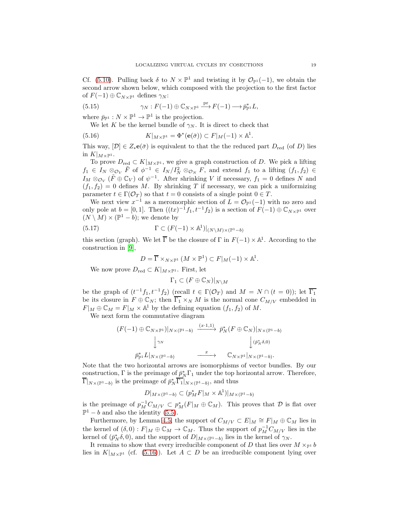Cf. [\(5.10\)](#page-17-2). Pulling back  $\delta$  to  $N \times \mathbb{P}^1$  and twisting it by  $\mathcal{O}_{\mathbb{P}^1}(-1)$ , we obtain the second arrow shown below, which composed with the projection to the first factor of  $F(-1) \oplus \mathbb{C}_{N \times \mathbb{P}^1}$  defines  $\gamma_N$ :

(5.15) 
$$
\gamma_N : F(-1) \oplus \mathbb{C}_{N \times \mathbb{P}^1} \xrightarrow{\mathrm{pr}} F(-1) \longrightarrow \tilde{p}_{\mathbb{P}^1}^* L,
$$

where  $\bar{p}_{\mathbb{P}^1} : N \times \mathbb{P}^1 \to \mathbb{P}^1$  is the projection.

<span id="page-18-1"></span><span id="page-18-0"></span>We let K be the kernel bundle of  $\gamma_N$ . It is direct to check that

(5.16) 
$$
K|_{M\times\mathbb{P}^1}=\Phi^*(\mathbf{e}(\bar{\sigma}))\subset F|_M(-1)\times\mathbb{A}^1.
$$

This way,  $[\mathcal{D}] \in Z_*\mathbf{e}(\bar{\sigma})$  is equivalent to that the reduced part  $D_{\text{red}}$  (of D) lies in  $K|_{M\times \mathbb{P}^1}$ .

To prove  $D_{\text{red}} \subset K|_{M\times \mathbb{P}^1}$ , we give a graph construction of D. We pick a lifting  $f_1 \in I_N \otimes_{\mathcal{O}_V} \tilde{F}$  of  $\phi^{-1} \in I_N/I_N^2 \otimes_{\mathcal{O}_N} F$ , and extend  $f_1$  to a lifting  $(f_1, f_2) \in$  $I_M \otimes_{\mathcal{O}_V} (\tilde{F} \oplus \mathbb{C}_V)$  of  $\psi^{-1}$ . After shrinking V if necessary,  $f_1 = 0$  defines N and  $(f_1, f_2) = 0$  defines M. By shrinking T if necessary, we can pick a uniformizing parameter  $t \in \Gamma(\mathcal{O}_T)$  so that  $t = 0$  consists of a single point  $0 \in T$ .

We next view  $x^{-1}$  as a meromorphic section of  $L = \mathcal{O}_{\mathbb{P}^1}(-1)$  with no zero and only pole at  $b = [0, 1]$ . Then  $((tx)^{-1}f_1, t^{-1}f_2)$  is a section of  $F(-1) \oplus \mathbb{C}_{N \times \mathbb{P}^1}$  over  $(N \setminus M) \times (\mathbb{P}^1 - b)$ ; we denote by

(5.17) 
$$
\Gamma \subset (F(-1) \times \mathbb{A}^1)|_{(N \setminus M) \times (\mathbb{P}^1 - b)}
$$

this section (graph). We let  $\overline{\Gamma}$  be the closure of  $\Gamma$  in  $F(-1) \times \mathbb{A}^1$ . According to the construction in [\[9\]](#page-24-13),

$$
D = \overline{\Gamma} \times_{N \times \mathbb{P}^1} (M \times \mathbb{P}^1) \subset F|_M(-1) \times \mathbb{A}^1.
$$

We now prove  $D_{\text{red}} \subset K|_{M \times \mathbb{P}^1}$ . First, let

$$
\Gamma_1 \subset (F \oplus \mathbb{C}_N)|_{N \setminus M}
$$

be the graph of  $(t^{-1}f_1, t^{-1}f_2)$  (recall  $t \in \Gamma(\mathcal{O}_T)$  and  $M = N \cap (t = 0)$ ); let  $\overline{\Gamma_1}$ be its closure in  $F \oplus \mathbb{C}_N$ ; then  $\overline{\Gamma_1} \times_N M$  is the normal cone  $C_{M/V}$  embedded in  $F|_M \oplus \mathbb{C}_M = F|_M \times \mathbb{A}^1$  by the defining equation  $(f_1, f_2)$  of M.

We next form the commutative diagram

$$
(F(-1) \oplus \mathbb{C}_{N \times \mathbb{P}^1})|_{N \times (\mathbb{P}^1 - b)} \xrightarrow{(x \cdot 1, 1)} \overline{p}_N^*(F \oplus \mathbb{C}_N)|_{N \times (\mathbb{P}^1 - b)}
$$

$$
\downarrow^{\gamma_N} \qquad \qquad \downarrow^{\gamma_{\mathbb{P}^1}} \cup_{N \times (\mathbb{P}^1 - b)} \xrightarrow{x} \qquad \mathbb{C}_{N \times \mathbb{P}^1}|_{N \times (\mathbb{P}^1 - b)}.
$$

Note that the two horizontal arrows are isomorphisms of vector bundles. By our construction,  $\Gamma$  is the preimage of  $\bar{p}_N^*\Gamma_1$  under the top horizontal arrow. Therefore,  $\overline{\Gamma}|_{N\times(\mathbb{P}^1-b)}$  is the preimage of  $\overline{p}_N^*\overline{\Gamma_1}|_{N\times(\mathbb{P}^1-b)}$ , and thus

$$
D|_{M\times(\mathbb{P}^1-b)}\subset (p_M^*F|_M\times\mathbb{A}^1)|_{M\times(\mathbb{P}^1-b)}
$$

is the preimage of  $p_M^{-1}C_{M/V} \subset p_M^*(F|_M \oplus \mathbb{C}_M)$ . This proves that  $\mathcal D$  is flat over  $\mathbb{P}^1 - b$  and also the identity [\(5.5\)](#page-16-2).

Furthermore, by Lemma [4.5,](#page-11-2) the support of  $C_{M/V} \subset E|_M \cong F|_M \oplus \mathbb{C}_M$  lies in the kernel of  $(\delta, 0) : F|_M \oplus \mathbb{C}_M \to \mathbb{C}_M$ . Thus the support of  $p_M^{-1}C_{M/V}$  lies in the kernel of  $(\bar{p}_N^*\delta, 0)$ , and the support of  $D|_{M\times(\mathbb{P}^1-b)}$  lies in the kernel of  $\gamma_N$ .

It remains to show that every irreducible component of D that lies over  $M \times_{\mathbb{P}^1} b$ lies in  $K|_{M\times\mathbb{P}^1}$  (cf. [\(5.16\)](#page-18-0)). Let  $A\subset D$  be an irreducible component lying over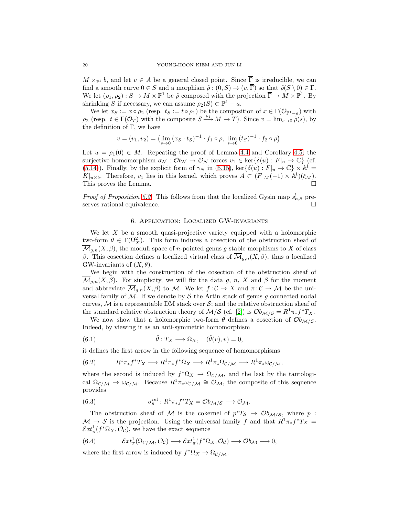$M \times_{\mathbb{P}^1} b$ , and let  $v \in A$  be a general closed point. Since  $\overline{\Gamma}$  is irreducible, we can find a smooth curve  $0 \in S$  and a morphism  $\tilde{\rho}: (0, S) \to (v, \overline{\Gamma})$  so that  $\tilde{\rho}(S \setminus 0) \in \Gamma$ . We let  $(\rho_1, \rho_2) : S \to M \times \mathbb{P}^1$  be  $\tilde{\rho}$  composed with the projection  $\overline{\Gamma} \to M \times \mathbb{P}^1$ . By shrinking S if necessary, we can assume  $\rho_2(S) \subset \mathbb{P}^1 - a$ .

We let  $x_S := x \circ \rho_2$  (resp.  $t_S := t \circ \rho_1$ ) be the composition of  $x \in \Gamma(\mathcal{O}_{\mathbb{P}^1-a})$  with  $\rho_2$  (resp.  $t \in \Gamma(\mathcal{O}_T)$  with the composite  $S \xrightarrow{\rho_1} M \to T$ ). Since  $v = \lim_{s \to 0} \tilde{\rho}(s)$ , by the definition of  $\Gamma$ , we have

$$
v = (v_1, v_2) = \left(\lim_{s \to 0} (x_S \cdot t_S)^{-1} \cdot f_1 \circ \rho, \lim_{s \to 0} (t_S)^{-1} \cdot f_2 \circ \rho\right).
$$

Let  $u = \rho_1(0) \in M$ . Repeating the proof of Lemma [4.4](#page-11-0) and Corollary [4.5,](#page-11-2) the surjective homomorphism  $\sigma_{\mathcal{N}} : \mathcal{O}_{\mathcal{N}} \to \mathcal{O}_{\mathcal{N}}$  forces  $v_1 \in \text{ker}\{\delta(u) : F|_u \to \mathbb{C}\}\$  (cf. [\(5.14\)](#page-17-3)). Finally, by the explicit form of  $\gamma_N$  in [\(5.15\)](#page-18-1), ker $\{\delta(u): F|_u \to \mathbb{C}\}\times \mathbb{A}^1$  $K|_{u\times b}$ . Therefore,  $v_1$  lies in this kernel, which proves  $A \subset (F|_{M}(-1) \times \mathbb{A}^{1})(\xi_{M})$ . This proves the Lemma.

*Proof of Proposition* [5.2.](#page-15-2) This follows from that the localized Gysin map  $s_{\mathbf{e},\bar{\sigma}}^{\dagger}$  preserves rational equivalence.

# 6. Application: Localized GW-invariants

We let  $X$  be a smooth quasi-projective variety equipped with a holomorphic two-form  $\theta \in \Gamma(\Omega_X^2)$ . This form induces a cosection of the obstruction sheaf of  $\overline{\mathcal{M}}_{g,n}(X,\beta)$ , the moduli space of *n*-pointed genus g stable morphisms to X of class β. This cosection defines a localized virtual class of  $\overline{\mathcal{M}}_{g,n}(X,\beta)$ , thus a localized GW-invariants of  $(X, \theta)$ .

We begin with the construction of the cosection of the obstruction sheaf of  $\mathcal{M}_{g,n}(X,\beta)$ . For simplicity, we will fix the data g, n, X and  $\beta$  for the moment and abbreviate  $\mathcal{M}_{g,n}(X,\beta)$  to M. We let  $f:\mathcal{C}\to X$  and  $\pi:\mathcal{C}\to\mathcal{M}$  be the universal family of  $M$ . If we denote by  $S$  the Artin stack of genus g connected nodal curves,  $M$  is a representable DM stack over  $S$ ; and the relative obstruction sheaf of the standard relative obstruction theory of  $\mathcal{M}/\mathcal{S}$  (cf. [\[2\]](#page-24-8)) is  $\mathcal{O}_{\mathcal{M}/\mathcal{S}} = R^1 \pi_* f^* T_X$ .

We now show that a holomorphic two-form  $\theta$  defines a cosection of  $\mathcal{O}_{M/S}$ . Indeed, by viewing it as an anti-symmetric homomorphism

<span id="page-19-0"></span>(6.1) 
$$
\hat{\theta}: T_X \longrightarrow \Omega_X, \quad (\hat{\theta}(v), v) = 0,
$$

it defines the first arrow in the following sequence of homomorphisms

(6.2) 
$$
R^1 \pi_* f^* T_X \longrightarrow R^1 \pi_* f^* \Omega_X \longrightarrow R^1 \pi_* \Omega_{\mathcal{C}/\mathcal{M}} \longrightarrow R^1 \pi_* \omega_{\mathcal{C}/\mathcal{M}},
$$

where the second is induced by  $f^*\Omega_X \to \Omega_{\mathcal{C}/\mathcal{M}}$ , and the last by the tautological  $\Omega_{\mathcal{C}/\mathcal{M}} \to \omega_{\mathcal{C}/\mathcal{M}}$ . Because  $R^1\pi_*\omega_{\mathcal{C}/\mathcal{M}} \cong \mathcal{O}_{\mathcal{M}}$ , the composite of this sequence provides

(6.3) 
$$
\sigma_{\theta}^{\text{rel}} : R^1 \pi_* f^* T_X = \mathcal{O}b_{\mathcal{M}/\mathcal{S}} \longrightarrow \mathcal{O}_{\mathcal{M}}.
$$

The obstruction sheaf of M is the cokernel of  $p^*T_s \to \mathcal{O}_{M/S}$ , where p:  $\mathcal{M} \to \mathcal{S}$  is the projection. Using the universal family f and that  $R^1\pi_* f^*T_X =$  $\mathcal{E}xt^1_{\pi}(f^*\Omega_X,\mathcal{O}_{\mathcal{C}}),$  we have the exact sequence

<span id="page-19-1"></span>(6.4) 
$$
\mathcal{E}xt^1_\pi(\Omega_{\mathcal{C}/\mathcal{M}}, \mathcal{O}_{\mathcal{C}}) \longrightarrow \mathcal{E}xt^1_\pi(f^*\Omega_X, \mathcal{O}_{\mathcal{C}}) \longrightarrow \mathcal{O}b_{\mathcal{M}} \longrightarrow 0,
$$

where the first arrow is induced by  $f^* \Omega_X \to \Omega_{\mathcal{C}/\mathcal{M}}$ .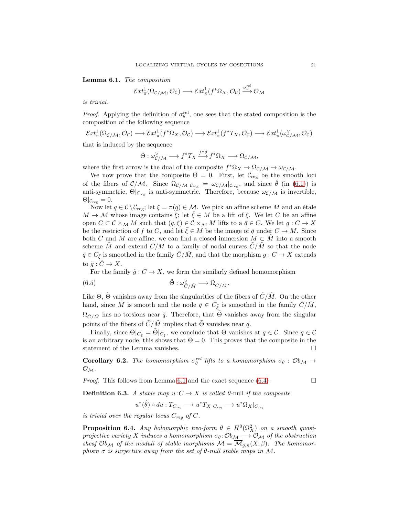#### <span id="page-20-0"></span>Lemma 6.1. *The composition*

$$
\mathcal{E}xt^1_\pi(\Omega_{\mathcal{C}/\mathcal{M}},\mathcal{O}_{\mathcal{C}})\longrightarrow \mathcal{E}xt^1_\pi(f^*\Omega_X,\mathcal{O}_{\mathcal{C}})\stackrel{\sigma^{rel}_{\theta^{\iota}}}{\longrightarrow} \mathcal{O}_{\mathcal{M}}
$$

*is trivial.*

*Proof.* Applying the definition of  $\sigma_{\theta}^{\text{rel}}$ , one sees that the stated composition is the composition of the following sequence

$$
\mathcal{E}xt^1_\pi(\Omega_{\mathcal{C}/\mathcal{M}},\mathcal{O}_\mathcal{C})\longrightarrow \mathcal{E}xt^1_\pi(f^*\Omega_X,\mathcal{O}_\mathcal{C})\longrightarrow \mathcal{E}xt^1_\pi(f^*T_X,\mathcal{O}_\mathcal{C})\longrightarrow \mathcal{E}xt^1_\pi(\omega_{\mathcal{C}/\mathcal{M}}^\vee,\mathcal{O}_\mathcal{C})
$$

that is induced by the sequence

$$
\Theta: \omega_{\mathcal{C}/\mathcal{M}}^{\vee} \longrightarrow f^*T_X \stackrel{f^*\hat{\theta}}{\longrightarrow} f^*\Omega_X \longrightarrow \Omega_{\mathcal{C}/\mathcal{M}},
$$

where the first arrow is the dual of the composite  $f^* \Omega_X \to \Omega_{\mathcal{C}/\mathcal{M}} \to \omega_{\mathcal{C}/\mathcal{M}}$ .

We now prove that the composite  $\Theta = 0$ . First, let  $\mathcal{C}_{reg}$  be the smooth loci of the fibers of  $\mathcal{C}/\mathcal{M}$ . Since  $\Omega_{\mathcal{C}/\mathcal{M}}|_{\mathcal{C}_{reg}} = \omega_{\mathcal{C}/\mathcal{M}}|_{\mathcal{C}_{reg}}$ , and since  $\hat{\theta}$  (in [\(6.1\)](#page-19-0)) is anti-symmetric,  $\Theta|_{\mathcal{C}_{reg}}$  is anti-symmetric. Therefore, because  $\omega_{\mathcal{C}/\mathcal{M}}$  is invertible,  $\Theta|_{\mathcal{C}_{reg}}=0.$ 

Now let  $q \in \mathcal{C} \backslash \mathcal{C}_{reg}$ ; let  $\xi = \pi(q) \in \mathcal{M}$ . We pick an affine scheme M and an étale  $M \to \mathcal{M}$  whose image contains  $\xi$ ; let  $\overline{\xi} \in M$  be a lift of  $\xi$ . We let C be an affine open  $C \subset \mathcal{C} \times_{\mathcal{M}} M$  such that  $(q, \xi) \in \mathcal{C} \times_{\mathcal{M}} M$  lifts to a  $\bar{q} \in C$ . We let  $g: C \to X$ be the restriction of f to C, and let  $\xi \in M$  be the image of  $\overline{q}$  under  $C \to M$ . Since both C and M are affine, we can find a closed immersion  $M \subset M$  into a smooth scheme  $\tilde{M}$  and extend  $C/M$  to a family of nodal curves  $\tilde{C}/\tilde{M}$  so that the node  $\bar{q} \in C_{\bar{\xi}}$  is smoothed in the family  $\tilde{C}/\tilde{M}$ , and that the morphism  $g: C \to X$  extends to  $\tilde{g}: \tilde{C} \to X$ .

For the family  $\tilde{g}: \tilde{C} \to X$ , we form the similarly defined homomorphism

(6.5) 
$$
\tilde{\Theta} : \omega_{\tilde{C}/\tilde{M}}^{\vee} \longrightarrow \Omega_{\tilde{C}/\tilde{M}}.
$$

Like  $\Theta$ ,  $\Theta$  vanishes away from the singularities of the fibers of  $\ddot{C}/\dot{M}$ . On the other hand, since  $\tilde{M}$  is smooth and the node  $\bar{q} \in \tilde{C}_{\tilde{\xi}}$  is smoothed in the family  $\tilde{C}/\tilde{M}$ ,  $\Omega_{\tilde{C}/\tilde{M}}$  has no torsions near  $\bar{q}$ . Therefore, that  $\Theta$  vanishes away from the singular points of the fibers of  $\tilde{C}/\tilde{M}$  implies that  $\Theta$  vanishes near  $\tilde{q}$ .

Finally, since  $\Theta|_{C_{\bar{\xi}}} = \tilde{\Theta}|_{C_{\bar{\xi}}}$ , we conclude that  $\Theta$  vanishes at  $q \in \mathcal{C}$ . Since  $q \in \mathcal{C}$ is an arbitrary node, this shows that  $\Theta = 0$ . This proves that the composite in the statement of the Lemma vanishes.  $\Box$ 

**Corollary 6.2.** The homomorphism  $\sigma_{\theta}^{rel}$  lifts to a homomorphism  $\sigma_{\theta}$  :  $\mathcal{O}_{b_{\mathcal{M}}} \rightarrow$  $\mathcal{O}_\mathcal{M}$ .

*Proof.* This follows from Lemma [6.1](#page-20-0) and the exact sequence  $(6.4)$ .

**Definition 6.3.** A stable map  $u: C \to X$  is called  $\theta$ -null if the composite

$$
u^*(\hat{\theta})\circ du:T_{C_{reg}}\longrightarrow u^*T_X|_{C_{reg}}\longrightarrow u^*\Omega_X|_{C_{reg}}
$$

*is trivial over the regular locus*  $C_{req}$  *of*  $C$ *.* 

**Proposition 6.4.** *Any holomorphic two-form*  $\theta \in H^0(\Omega_X^2)$  *on a smooth quasiprojective variety* X *induces a homomorphism*  $\sigma_{\theta}$ : $Ob_{\mathcal{M}} \longrightarrow O_{\mathcal{M}}$  *of the obstruction* sheaf  $Ob_{\mathcal{M}}$  of the moduli of stable morphisms  $\mathcal{M} = \mathcal{M}_{g,n}(X,\beta)$ . The homomor*phism*  $\sigma$  *is surjective away from the set of*  $\theta$ *-null stable maps in*  $M$ *.*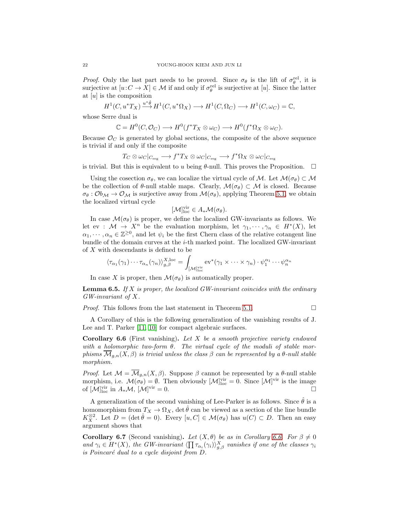*Proof.* Only the last part needs to be proved. Since  $\sigma_{\theta}$  is the lift of  $\sigma_{\theta}^{\text{rel}}$ , it is surjective at  $[u: C \to X] \in \mathcal{M}$  if and only if  $\sigma_{\theta}^{\text{rel}}$  is surjective at [u]. Since the latter at  $[u]$  is the composition

$$
{}^{1}(C, u^{*}T_{X}) \xrightarrow{u^{*}\hat{\theta}} H^{1}(C, u^{*}\Omega_{X}) \longrightarrow H^{1}(C, \Omega_{C}) \longrightarrow H^{1}(C, \omega_{C}) = \mathbb{C},
$$

whose Serre dual is

H

$$
\mathbb{C} = H^0(C, \mathcal{O}_C) \longrightarrow H^0(f^*T_X \otimes \omega_C) \longrightarrow H^0(f^*\Omega_X \otimes \omega_C).
$$

Because  $\mathcal{O}_C$  is generated by global sections, the composite of the above sequence is trivial if and only if the composite

$$
T_C\otimes \omega_C|_{C_{\text{reg}}}\longrightarrow f^*T_X\otimes \omega_C|_{C_{\text{reg}}}\longrightarrow f^*\Omega_X\otimes \omega_C|_{C_{\text{reg}}}
$$

is trivial. But this is equivalent to u being  $\theta$ -null. This proves the Proposition.  $\Box$ 

Using the cosection  $\sigma_{\theta}$ , we can localize the virtual cycle of M. Let  $\mathcal{M}(\sigma_{\theta}) \subset \mathcal{M}$ be the collection of  $\theta$ -null stable maps. Clearly,  $\mathcal{M}(\sigma_{\theta}) \subset \mathcal{M}$  is closed. Because  $\sigma_{\theta} : \mathcal{O}b_{\mathcal{M}} \to \mathcal{O}_{\mathcal{M}}$  is surjective away from  $\mathcal{M}(\sigma_{\theta})$ , applying Theorem [5.1,](#page-14-0) we obtain the localized virtual cycle

$$
[\mathcal{M}]_{\text{loc}}^{\text{vir}} \in A_* \mathcal{M}(\sigma_\theta).
$$

In case  $\mathcal{M}(\sigma_{\theta})$  is proper, we define the localized GW-invariants as follows. We let ev :  $\mathcal{M} \to X^n$  be the evaluation morphism, let  $\gamma_1, \dots, \gamma_n \in H^*(X)$ , let  $\alpha_1, \dots, \alpha_n \in \mathbb{Z}^{\geq 0}$ , and let  $\psi_i$  be the first Chern class of the relative cotangent line bundle of the domain curves at the i-th marked point. The localized GW-invariant of X with descendants is defined to be

$$
\langle \tau_{\alpha_1}(\gamma_1) \cdots \tau_{\alpha_n}(\gamma_n) \rangle^{\chi,loc}_{g,\beta} = \int_{\left[\mathcal{M}\right]^{\text{vir}}_{\text{loc}}} \text{ev}^*(\gamma_1 \times \cdots \times \gamma_n) \cdot \psi_1^{\alpha_1} \cdots \psi_n^{\alpha_n}
$$

In case X is proper, then  $\mathcal{M}(\sigma_{\theta})$  is automatically proper.

Lemma 6.5. *If* X *is proper, the localized GW-invariant coincides with the ordinary GW-invariant of* X*.*

*Proof.* This follows from the last statement in Theorem [5.1.](#page-14-0) □

A Corollary of this is the following generalization of the vanishing results of J. Lee and T. Parker [\[11,](#page-24-0) [10\]](#page-24-15) for compact algebraic surfaces.

<span id="page-21-0"></span>Corollary 6.6 (First vanishing). *Let* X *be a smooth projective variety endowed with a holomorphic two-form* θ*. The virtual cycle of the moduli of stable morphisms*  $\overline{\mathcal{M}}_{g,n}(X,\beta)$  *is trivial unless the class*  $\beta$  *can be represented by a*  $\theta$ *-null stable morphism.*

*Proof.* Let  $\mathcal{M} = \overline{\mathcal{M}}_{g,n}(X,\beta)$ . Suppose  $\beta$  cannot be represented by a  $\theta$ -null stable morphism, i.e.  $\mathcal{M}(\sigma_{\theta}) = \emptyset$ . Then obviously  $[\mathcal{M}]_{loc}^{vir} = 0$ . Since  $[\mathcal{M}]^{vir}$  is the image of  $[\mathcal{M}]_{\text{loc}}^{\text{vir}}$  in  $A_*\mathcal{M}, [\mathcal{M}]$  $\mathbf{v}^{\text{ir}} = 0.$ 

A generalization of the second vanishing of Lee-Parker is as follows. Since  $\theta$  is a homomorphism from  $T_X \to \Omega_X$ , det  $\hat{\theta}$  can be viewed as a section of the line bundle  $K_X^{\otimes 2}$ . Let  $D = (\det \hat{\theta} = 0)$ . Every  $[u, C] \in \mathcal{M}(\sigma_{\theta})$  has  $u(C) \subset D$ . Then an easy argument shows that

**Corollary 6.7** (Second vanishing). *Let*  $(X, \theta)$  *be as in Corollary [6.6.](#page-21-0) For*  $\beta \neq 0$ and  $\gamma_i \in H^*(X)$ , the GW-invariant  $\langle \prod \tau_{\alpha_i}(\gamma_i) \rangle_{g,\beta}^X$  vanishes if one of the classes  $\gamma_i$ *is Poincar´e dual to a cycle disjoint from* D*.*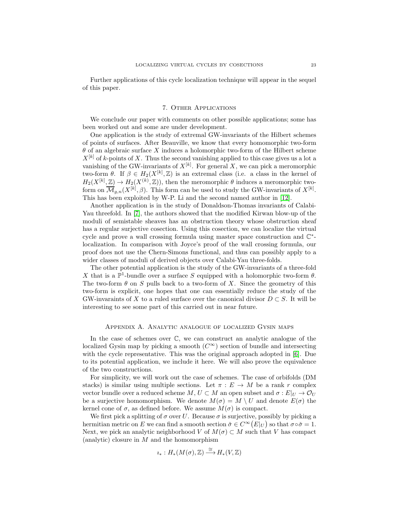Further applications of this cycle localization technique will appear in the sequel of this paper.

### 7. Other Applications

We conclude our paper with comments on other possible applications; some has been worked out and some are under development.

One application is the study of extremal GW-invariants of the Hilbert schemes of points of surfaces. After Beauville, we know that every homomorphic two-form  $\theta$  of an algebraic surface X induces a holomorphic two-form of the Hilbert scheme  $X^{[k]}$  of k-points of X. Thus the second vanishing applied to this case gives us a lot a vanishing of the GW-invariants of  $X^{[k]}$ . For general X, we can pick a meromorphic two-form  $\theta$ . If  $\beta \in H_2(X^{[k]}, \mathbb{Z})$  is an extremal class (i.e. a class in the kernel of  $H_2(X^{[k]}, \mathbb{Z}) \to H_2(X^{(k)}, \mathbb{Z})$ , then the meromorphic  $\theta$  induces a meromorphic twoform on  $\overline{\mathcal{M}}_{g,n}(X^{[k]},\beta)$ . This form can be used to study the GW-invariants of  $X^{[k]}$ . This has been exploited by W-P. Li and the second named author in [\[12\]](#page-24-1).

Another application is in the study of Donaldson-Thomas invariants of Calabi-Yau threefold. In [\[7\]](#page-24-4), the authors showed that the modified Kirwan blow-up of the moduli of semistable sheaves has an obstruction theory whose obstruction sheaf has a regular surjective cosection. Using this cosection, we can localize the virtual cycle and prove a wall crossing formula using master space construction and  $\mathbb{C}^*$ localization. In comparison with Joyce's proof of the wall crossing formula, our proof does not use the Chern-Simons functional, and thus can possibly apply to a wider classes of moduli of derived objects over Calabi-Yau three-folds.

The other potential application is the study of the GW-invariants of a three-fold X that is a  $\mathbb{P}^1$ -bundle over a surface S equipped with a holomorphic two-form  $\theta$ . The two-form  $\theta$  on S pulls back to a two-form of X. Since the geometry of this two-form is explicit, one hopes that one can essentially reduce the study of the GW-invaraints of X to a ruled surface over the canonical divisor  $D \subset S$ . It will be interesting to see some part of this carried out in near future.

## Appendix A. Analytic analogue of localized Gysin maps

In the case of schemes over C, we can construct an analytic analogue of the localized Gysin map by picking a smooth  $(C^{\infty})$  section of bundle and intersecting with the cycle representative. This was the original approach adopted in [\[6\]](#page-24-5). Due to its potential application, we include it here. We will also prove the equivalence of the two constructions.

For simplicity, we will work out the case of schemes. The case of orbifolds (DM stacks) is similar using multiple sections. Let  $\pi : E \to M$  be a rank r complex vector bundle over a reduced scheme M,  $U \subset M$  an open subset and  $\sigma : E|_U \to \mathcal{O}_U$ be a surjective homomorphism. We denote  $M(\sigma) = M \setminus U$  and denote  $E(\sigma)$  the kernel cone of  $\sigma$ , as defined before. We assume  $M(\sigma)$  is compact.

We first pick a splitting of  $\sigma$  over U. Because  $\sigma$  is surjective, possibly by picking a hermitian metric on E we can find a smooth section  $\check{\sigma} \in C^{\infty}(E|_{U})$  so that  $\sigma \circ \check{\sigma} = 1$ . Next, we pick an analytic neighborhood V of  $M(\sigma) \subset M$  such that V has compact (analytic) closure in M and the homomorphism

$$
\iota_*: H_*(M(\sigma), \mathbb{Z}) \xrightarrow{\cong} H_*(V, \mathbb{Z})
$$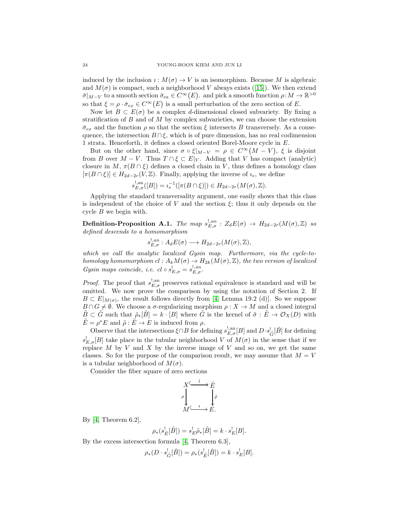induced by the inclusion  $\iota: M(\sigma) \to V$  is an isomorphism. Because M is algebraic and $M(\sigma)$  is compact, such a neighborhood V always exists ([\[15\]](#page-24-16)). We then extend  $\check{\sigma}|_{M-V}$  to a smooth section  $\check{\sigma}_{ex} \in C^{\infty}(E)$ . and pick a smooth function  $\rho: M \to \mathbb{R}^{>0}$ so that  $\xi = \rho \cdot \check{\sigma}_{ex} \in C^{\infty}(E)$  is a small perturbation of the zero section of E.

Now let  $B \subset E(\sigma)$  be a complex d-dimensional closed subvariety. By fixing a stratification of  $B$  and of  $M$  by complex subvarieties, we can choose the extension  $\check{\sigma}_{ex}$  and the function  $\rho$  so that the section  $\xi$  intersects B transversely. As a consequence, the intersection  $B \cap \xi$ , which is of pure dimension, has no real codimension 1 strata. Henceforth, it defines a closed oriented Borel-Moore cycle in E.

But on the other hand, since  $\sigma \circ \xi|_{M-V} = \rho \in C^{\infty}(M-V)$ ,  $\xi$  is disjoint from B over  $M - V$ . Thus  $T \cap \xi \subset E|_V$ . Adding that V has compact (analytic) closure in M,  $\pi(B \cap \xi)$  defines a closed chain in V, thus defines a homology class  $[\pi(B \cap \xi)] \in H_{2d-2r}(V, \mathbb{Z})$ . Finally, applying the inverse of  $i_*$ , we define

$$
s_{E,\sigma}^{!,\mathrm{an}}([B]) = i_*^{-1}([\pi(B \cap \xi)]) \in H_{2d-2r}(M(\sigma), \mathbb{Z}).
$$

Applying the standard transversality argument, one easily shows that this class is independent of the choice of V and the section  $\xi$ ; thus it only depends on the cycle  $B$  we begin with.

 $\textbf{Definition-Proposition A.1.}$  *The map*  $s_{E,\sigma}^{!,an}: Z_dE(\sigma) \rightarrow H_{2d-2r}(M(\sigma),\mathbb{Z})$  so *defined descends to a homomorphism*

$$
s_{E,\sigma}^{!,an}: A_d E(\sigma) \longrightarrow H_{2d-2r}(M(\sigma),\mathbb{Z}),
$$

*which we call the analytic localized Gysin map. Furthermore, via the cycle-tohomology homomorphism*  $cl: A_kM(\sigma) \to H_{2k}(M(\sigma), \mathbb{Z})$ *, the two version of localized Gysin maps coincide, i.e.*  $cl \circ s_{E,\sigma}^{!} = s_{E,\sigma}^{!, an}$ .

*Proof.* The proof that  $s_{E,\sigma}^{!,\text{an}}$  preserves rational equivalence is standard and will be omitted. We now prove the comparison by using the notation of Section 2. If  $B \subset E|_{M(\sigma)}$ , the result follows directly from [\[4,](#page-24-7) Lemma 19.2 (d)]. So we suppose  $B \cap G \neq \emptyset$ . We choose a  $\sigma$ -regularizing morphism  $\rho : X \to M$  and a closed integral  $B\subset G$  such that  $\tilde{\rho}_*[B]=k\cdot [B]$  where G is the kernel of  $\tilde{\sigma}:E\to \mathcal{O}_X(D)$  with  $\tilde{E} = \rho^* E$  and  $\tilde{\rho} : \tilde{E} \to E$  is induced from  $\rho$ .

Observe that the intersections  $\xi \cap B$  for defining  $s_{E,\sigma}^{!,\mathrm{an}}[B]$  and  $D \cdot s_{\tilde{G}}^![\tilde{B}]$  for defining  $s_{E,\sigma}^{\dagger}[B]$  take place in the tubular neighborhood V of  $M(\sigma)$  in the sense that if we replace  $M$  by  $V$  and  $X$  by the inverse image of  $V$  and so on, we get the same classes. So for the purpose of the comparison result, we may assume that  $M = V$ is a tubular neighborhood of  $M(\sigma)$ .

Consider the fiber square of zero sections

$$
X \xrightarrow{\tilde{i}} \tilde{E}
$$
\n
$$
\rho \downarrow \qquad \downarrow \tilde{\rho}
$$
\n
$$
M \xrightarrow{i} E.
$$

By  $[4,$  Theorem 6.2],

$$
\rho_*(s_{\tilde{E}}^![\tilde{B}]) = s_E^!\tilde{\rho}_*[\tilde{B}] = k \cdot s_E^![B].
$$

By the excess intersection formula [\[4,](#page-24-7) Theorem 6.3],

$$
\rho_*(D \cdot s_{\tilde{G}}^![\tilde{B}]) = \rho_*(s_{\tilde{E}}^![\tilde{B}]) = k \cdot s_E^![B].
$$